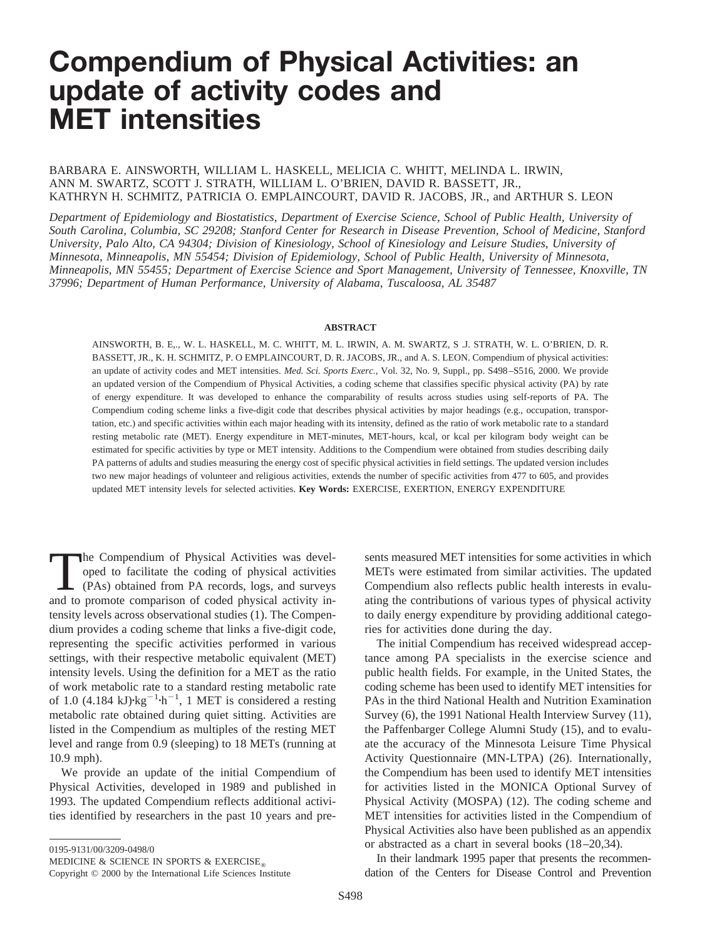# **Compendium of Physical Activities: an update of activity codes and MET intensities**

BARBARA E. AINSWORTH, WILLIAM L. HASKELL, MELICIA C. WHITT, MELINDA L. IRWIN, ANN M. SWARTZ, SCOTT J. STRATH, WILLIAM L. O'BRIEN, DAVID R. BASSETT, JR., KATHRYN H. SCHMITZ, PATRICIA O. EMPLAINCOURT, DAVID R. JACOBS, JR., and ARTHUR S. LEON

*Department of Epidemiology and Biostatistics, Department of Exercise Science, School of Public Health, University of South Carolina, Columbia, SC 29208; Stanford Center for Research in Disease Prevention, School of Medicine, Stanford University, Palo Alto, CA 94304; Division of Kinesiology, School of Kinesiology and Leisure Studies, University of Minnesota, Minneapolis, MN 55454; Division of Epidemiology, School of Public Health, University of Minnesota, Minneapolis, MN 55455; Department of Exercise Science and Sport Management, University of Tennessee, Knoxville, TN 37996; Department of Human Performance, University of Alabama, Tuscaloosa, AL 35487*

#### **ABSTRACT**

AINSWORTH, B. E,., W. L. HASKELL, M. C. WHITT, M. L. IRWIN, A. M. SWARTZ, S .J. STRATH, W. L. O'BRIEN, D. R. BASSETT, JR., K. H. SCHMITZ, P. O EMPLAINCOURT, D. R. JACOBS, JR., and A. S. LEON. Compendium of physical activities: an update of activity codes and MET intensities. *Med. Sci. Sports Exerc.,* Vol. 32, No. 9, Suppl., pp. S498–S516, 2000. We provide an updated version of the Compendium of Physical Activities, a coding scheme that classifies specific physical activity (PA) by rate of energy expenditure. It was developed to enhance the comparability of results across studies using self-reports of PA. The Compendium coding scheme links a five-digit code that describes physical activities by major headings (e.g., occupation, transportation, etc.) and specific activities within each major heading with its intensity, defined as the ratio of work metabolic rate to a standard resting metabolic rate (MET). Energy expenditure in MET-minutes, MET-hours, kcal, or kcal per kilogram body weight can be estimated for specific activities by type or MET intensity. Additions to the Compendium were obtained from studies describing daily PA patterns of adults and studies measuring the energy cost of specific physical activities in field settings. The updated version includes two new major headings of volunteer and religious activities, extends the number of specific activities from 477 to 605, and provides updated MET intensity levels for selected activities. **Key Words:** EXERCISE, EXERTION, ENERGY EXPENDITURE

The Compendium of Physical Activities was devel-<br>oped to facilitate the coding of physical activities<br>(PAs) obtained from PA records, logs, and surveys<br>and to promote comparison of coded physical activity inoped to facilitate the coding of physical activities (PAs) obtained from PA records, logs, and surveys and to promote comparison of coded physical activity intensity levels across observational studies (1). The Compendium provides a coding scheme that links a five-digit code, representing the specific activities performed in various settings, with their respective metabolic equivalent (MET) intensity levels. Using the definition for a MET as the ratio of work metabolic rate to a standard resting metabolic rate of 1.0 (4.184 kJ) $\text{kg}^{-1} \cdot \text{h}^{-1}$ , 1 MET is considered a resting metabolic rate obtained during quiet sitting. Activities are listed in the Compendium as multiples of the resting MET level and range from 0.9 (sleeping) to 18 METs (running at 10.9 mph).

We provide an update of the initial Compendium of Physical Activities, developed in 1989 and published in 1993. The updated Compendium reflects additional activities identified by researchers in the past 10 years and pre-

0195-9131/00/3209-0498/0

MEDICINE & SCIENCE IN SPORTS & EXERCISE<sup>®</sup>

Copyright © 2000 by the International Life Sciences Institute

sents measured MET intensities for some activities in which METs were estimated from similar activities. The updated Compendium also reflects public health interests in evaluating the contributions of various types of physical activity to daily energy expenditure by providing additional categories for activities done during the day.

The initial Compendium has received widespread acceptance among PA specialists in the exercise science and public health fields. For example, in the United States, the coding scheme has been used to identify MET intensities for PAs in the third National Health and Nutrition Examination Survey (6), the 1991 National Health Interview Survey (11), the Paffenbarger College Alumni Study (15), and to evaluate the accuracy of the Minnesota Leisure Time Physical Activity Questionnaire (MN-LTPA) (26). Internationally, the Compendium has been used to identify MET intensities for activities listed in the MONICA Optional Survey of Physical Activity (MOSPA) (12). The coding scheme and MET intensities for activities listed in the Compendium of Physical Activities also have been published as an appendix or abstracted as a chart in several books (18–20,34).

In their landmark 1995 paper that presents the recommendation of the Centers for Disease Control and Prevention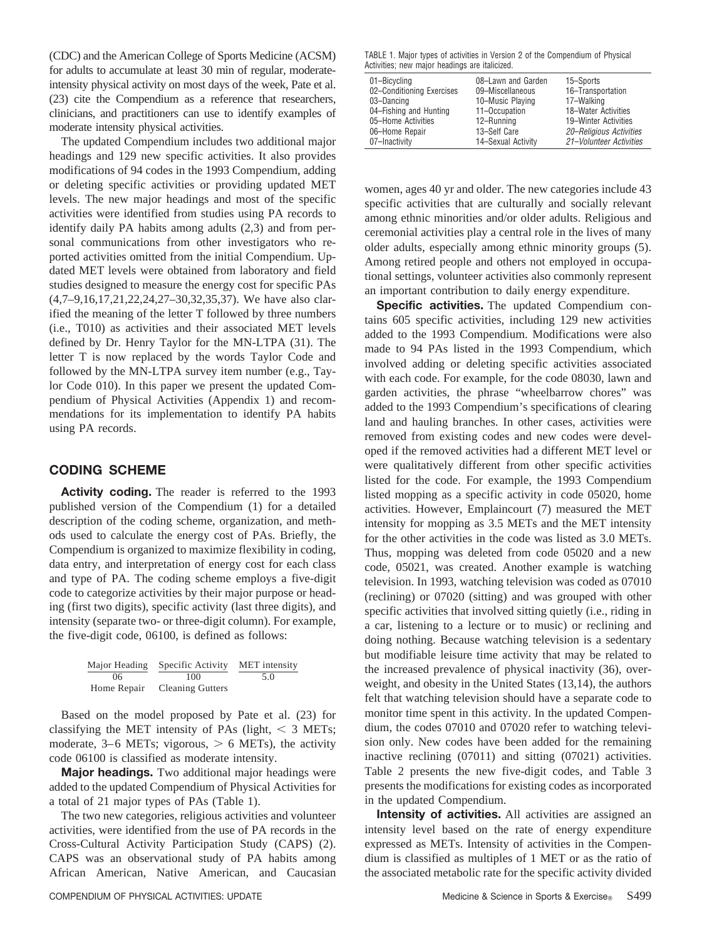(CDC) and the American College of Sports Medicine (ACSM) for adults to accumulate at least 30 min of regular, moderateintensity physical activity on most days of the week, Pate et al. (23) cite the Compendium as a reference that researchers, clinicians, and practitioners can use to identify examples of moderate intensity physical activities.

The updated Compendium includes two additional major headings and 129 new specific activities. It also provides modifications of 94 codes in the 1993 Compendium, adding or deleting specific activities or providing updated MET levels. The new major headings and most of the specific activities were identified from studies using PA records to identify daily PA habits among adults (2,3) and from personal communications from other investigators who reported activities omitted from the initial Compendium. Updated MET levels were obtained from laboratory and field studies designed to measure the energy cost for specific PAs (4,7–9,16,17,21,22,24,27–30,32,35,37). We have also clarified the meaning of the letter T followed by three numbers (i.e., T010) as activities and their associated MET levels defined by Dr. Henry Taylor for the MN-LTPA (31). The letter T is now replaced by the words Taylor Code and followed by the MN-LTPA survey item number (e.g., Taylor Code 010). In this paper we present the updated Compendium of Physical Activities (Appendix 1) and recommendations for its implementation to identify PA habits using PA records.

# **CODING SCHEME**

**Activity coding.** The reader is referred to the 1993 published version of the Compendium (1) for a detailed description of the coding scheme, organization, and methods used to calculate the energy cost of PAs. Briefly, the Compendium is organized to maximize flexibility in coding, data entry, and interpretation of energy cost for each class and type of PA. The coding scheme employs a five-digit code to categorize activities by their major purpose or heading (first two digits), specific activity (last three digits), and intensity (separate two- or three-digit column). For example, the five-digit code, 06100, is defined as follows:

| Major Heading | Specific Activity       | <b>MET</b> intensity |
|---------------|-------------------------|----------------------|
| 06            | 100                     | 5.0                  |
| Home Repair   | <b>Cleaning Gutters</b> |                      |

Based on the model proposed by Pate et al. (23) for classifying the MET intensity of PAs (light,  $\lt$  3 METs; moderate,  $3-6$  METs; vigorous,  $> 6$  METs), the activity code 06100 is classified as moderate intensity.

**Major headings.** Two additional major headings were added to the updated Compendium of Physical Activities for a total of 21 major types of PAs (Table 1).

The two new categories, religious activities and volunteer activities, were identified from the use of PA records in the Cross-Cultural Activity Participation Study (CAPS) (2). CAPS was an observational study of PA habits among African American, Native American, and Caucasian

TABLE 1. Major types of activities in Version 2 of the Compendium of Physical Activities; new major headings are italicized.

| 01-Bicycling              | 08-Lawn and Garden | 15-Sports               |
|---------------------------|--------------------|-------------------------|
| 02-Conditioning Exercises | 09-Miscellaneous   | 16-Transportation       |
| 03-Dancing                | 10-Music Playing   | 17-Walking              |
| 04–Fishing and Hunting    | 11-Occupation      | 18-Water Activities     |
| 05-Home Activities        | 12-Running         | 19-Winter Activities    |
| 06-Home Repair            | 13-Self Care       | 20-Religious Activities |
| 07-Inactivity             | 14-Sexual Activity | 21-Volunteer Activities |

women, ages 40 yr and older. The new categories include 43 specific activities that are culturally and socially relevant among ethnic minorities and/or older adults. Religious and ceremonial activities play a central role in the lives of many older adults, especially among ethnic minority groups (5). Among retired people and others not employed in occupational settings, volunteer activities also commonly represent an important contribution to daily energy expenditure.

**Specific activities.** The updated Compendium contains 605 specific activities, including 129 new activities added to the 1993 Compendium. Modifications were also made to 94 PAs listed in the 1993 Compendium, which involved adding or deleting specific activities associated with each code. For example, for the code 08030, lawn and garden activities, the phrase "wheelbarrow chores" was added to the 1993 Compendium's specifications of clearing land and hauling branches. In other cases, activities were removed from existing codes and new codes were developed if the removed activities had a different MET level or were qualitatively different from other specific activities listed for the code. For example, the 1993 Compendium listed mopping as a specific activity in code 05020, home activities. However, Emplaincourt (7) measured the MET intensity for mopping as 3.5 METs and the MET intensity for the other activities in the code was listed as 3.0 METs. Thus, mopping was deleted from code 05020 and a new code, 05021, was created. Another example is watching television. In 1993, watching television was coded as 07010 (reclining) or 07020 (sitting) and was grouped with other specific activities that involved sitting quietly (i.e., riding in a car, listening to a lecture or to music) or reclining and doing nothing. Because watching television is a sedentary but modifiable leisure time activity that may be related to the increased prevalence of physical inactivity (36), overweight, and obesity in the United States (13,14), the authors felt that watching television should have a separate code to monitor time spent in this activity. In the updated Compendium, the codes 07010 and 07020 refer to watching television only. New codes have been added for the remaining inactive reclining (07011) and sitting (07021) activities. Table 2 presents the new five-digit codes, and Table 3 presents the modifications for existing codes as incorporated in the updated Compendium.

**Intensity of activities.** All activities are assigned an intensity level based on the rate of energy expenditure expressed as METs. Intensity of activities in the Compendium is classified as multiples of 1 MET or as the ratio of the associated metabolic rate for the specific activity divided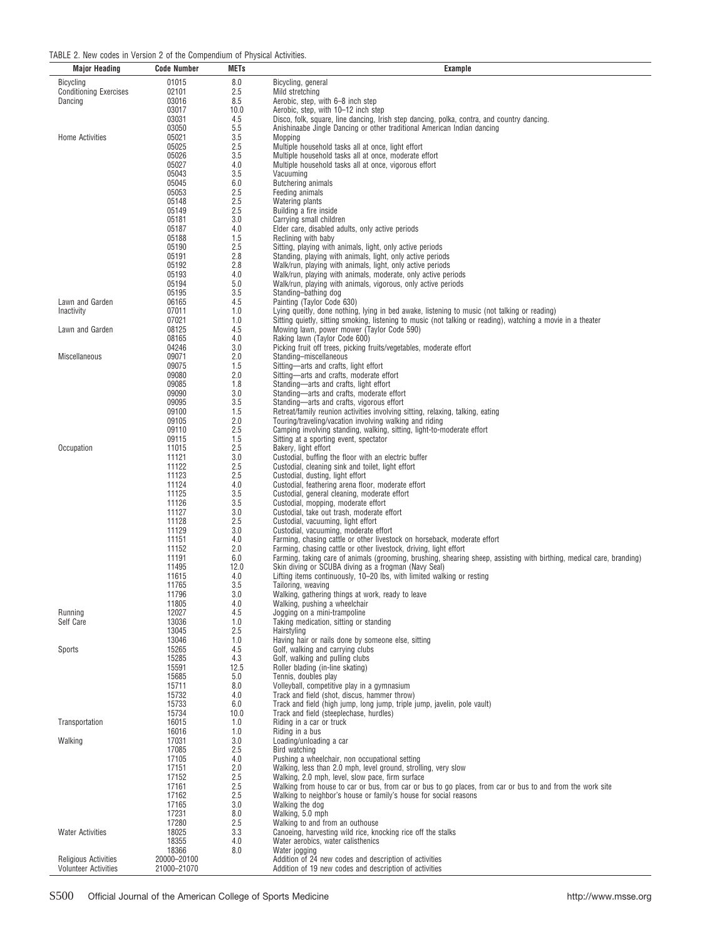| <b>Major Heading</b>          | <b>Code Number</b> | METs       | Example                                                                                                                                                                       |
|-------------------------------|--------------------|------------|-------------------------------------------------------------------------------------------------------------------------------------------------------------------------------|
| <b>Bicycling</b>              | 01015              | 8.0        | Bicycling, general                                                                                                                                                            |
| <b>Conditioning Exercises</b> | 02101              | 2.5        | Mild stretching                                                                                                                                                               |
| Dancing                       | 03016              | 8.5        | Aerobic, step, with 6-8 inch step                                                                                                                                             |
|                               | 03017              | 10.0       | Aerobic, step, with 10–12 inch step                                                                                                                                           |
|                               | 03031              | 4.5        | Disco, folk, square, line dancing, Irish step dancing, polka, contra, and country dancing.                                                                                    |
|                               | 03050              | 5.5        | Anishinaabe Jingle Dancing or other traditional American Indian dancing                                                                                                       |
| <b>Home Activities</b>        | 05021              | 3.5        | Mopping                                                                                                                                                                       |
|                               | 05025              | 2.5        | Multiple household tasks all at once, light effort                                                                                                                            |
|                               | 05026              | 3.5        | Multiple household tasks all at once, moderate effort                                                                                                                         |
|                               | 05027              | 4.0        | Multiple household tasks all at once, vigorous effort                                                                                                                         |
|                               | 05043              | 3.5        | Vacuuming                                                                                                                                                                     |
|                               | 05045<br>05053     | 6.0<br>2.5 | Butchering animals                                                                                                                                                            |
|                               | 05148              | 2.5        | Feeding animals<br><b>Watering plants</b>                                                                                                                                     |
|                               | 05149              | 2.5        | Building a fire inside                                                                                                                                                        |
|                               | 05181              | 3.0        | Carrying small children                                                                                                                                                       |
|                               | 05187              | 4.0        | Elder care, disabled adults, only active periods                                                                                                                              |
|                               | 05188              | 1.5        | Reclining with baby                                                                                                                                                           |
|                               | 05190              | 2.5        | Sitting, playing with animals, light, only active periods                                                                                                                     |
|                               | 05191              | 2.8        | Standing, playing with animals, light, only active periods                                                                                                                    |
|                               | 05192              | 2.8        | Walk/run, playing with animals, light, only active periods                                                                                                                    |
|                               | 05193              | 4.0        | Walk/run, playing with animals, moderate, only active periods                                                                                                                 |
|                               | 05194              | 5.0        | Walk/run, playing with animals, vigorous, only active periods                                                                                                                 |
|                               | 05195              | 3.5        | Standing-bathing dog                                                                                                                                                          |
| Lawn and Garden               | 06165              | 4.5        | Painting (Taylor Code 630)                                                                                                                                                    |
| Inactivity                    | 07011              | 1.0        | Lying queitly, done nothing, lying in bed awake, listening to music (not talking or reading)                                                                                  |
|                               | 07021              | 1.0        | Sitting quietly, sitting smoking, listening to music (not talking or reading), watching a movie in a theater                                                                  |
| Lawn and Garden               | 08125              | 4.5        | Mowing lawn, power mower (Taylor Code 590)                                                                                                                                    |
|                               | 08165              | 4.0        | Raking lawn (Taylor Code 600)                                                                                                                                                 |
|                               | 04246<br>09071     | 3.0<br>2.0 | Picking fruit off trees, picking fruits/vegetables, moderate effort                                                                                                           |
| Miscellaneous                 | 09075              | 1.5        | Standing-miscellaneous<br>Sitting-arts and crafts, light effort                                                                                                               |
|                               | 09080              | 2.0        | Sitting-arts and crafts, moderate effort                                                                                                                                      |
|                               | 09085              | 1.8        | Standing-arts and crafts, light effort                                                                                                                                        |
|                               | 09090              | 3.0        | Standing-arts and crafts, moderate effort                                                                                                                                     |
|                               | 09095              | 3.5        | Standing-arts and crafts, vigorous effort                                                                                                                                     |
|                               | 09100              | 1.5        | Retreat/family reunion activities involving sitting, relaxing, talking, eating                                                                                                |
|                               | 09105              | 2.0        | Touring/traveling/vacation involving walking and riding                                                                                                                       |
|                               | 09110              | 2.5        | Camping involving standing, walking, sitting, light-to-moderate effort                                                                                                        |
|                               | 09115              | 1.5        | Sitting at a sporting event, spectator                                                                                                                                        |
| Occupation                    | 11015              | 2.5        | Bakery, light effort                                                                                                                                                          |
|                               | 11121              | 3.0        | Custodial, buffing the floor with an electric buffer                                                                                                                          |
|                               | 11122              | 2.5        | Custodial, cleaning sink and toilet, light effort                                                                                                                             |
|                               | 11123              | 2.5        | Custodial, dusting, light effort                                                                                                                                              |
|                               | 11124              | 4.0        | Custodial, feathering arena floor, moderate effort                                                                                                                            |
|                               | 11125              | 3.5        | Custodial, general cleaning, moderate effort                                                                                                                                  |
|                               | 11126<br>11127     | 3.5        | Custodial, mopping, moderate effort                                                                                                                                           |
|                               | 11128              | 3.0<br>2.5 | Custodial, take out trash, moderate effort<br>Custodial, vacuuming, light effort                                                                                              |
|                               | 11129              | 3.0        | Custodial, vacuuming, moderate effort                                                                                                                                         |
|                               | 11151              | 4.0        | Farming, chasing cattle or other livestock on horseback, moderate effort                                                                                                      |
|                               | 11152              | 2.0        | Farming, chasing cattle or other livestock, driving, light effort                                                                                                             |
|                               | 11191              | 6.0        | Farming, taking care of animals (grooming, brushing, shearing sheep, assisting with birthing, medical care, branding)                                                         |
|                               | 11495              | 12.0       | Skin diving or SCUBA diving as a frogman (Navy Seal)                                                                                                                          |
|                               | 11615              | 4.0        | Lifting items continuously, 10–20 lbs, with limited walking or resting                                                                                                        |
|                               | 11765              | 3.5        | Tailoring, weaving                                                                                                                                                            |
|                               | 11796              | 3.0        | Walking, gathering things at work, ready to leave                                                                                                                             |
|                               | 11805              | 4.0        | Walking, pushing a wheelchair                                                                                                                                                 |
| Running                       | 12027              | 4.5        | Jogging on a mini-trampoline                                                                                                                                                  |
| Self Care                     | 13036              | 1.0        | Taking medication, sitting or standing                                                                                                                                        |
|                               | 13045              | 2.5        | Hairstyling                                                                                                                                                                   |
|                               | 13046<br>15265     | 1.0<br>4.5 | Having hair or nails done by someone else, sitting<br>Golf, walking and carrying clubs                                                                                        |
| Sports                        | 15285              | 4.3        | Golf, walking and pulling clubs                                                                                                                                               |
|                               | 15591              | 12.5       | Roller blading (in-line skating)                                                                                                                                              |
|                               | 15685              | 5.0        | Tennis, doubles play                                                                                                                                                          |
|                               | 15711              | 8.0        | Volleyball, competitive play in a gymnasium                                                                                                                                   |
|                               | 15732              | 4.0        | Track and field (shot, discus, hammer throw)                                                                                                                                  |
|                               | 15733              | 6.0        | Track and field (high jump, long jump, triple jump, javelin, pole vault)                                                                                                      |
|                               | 15734              | 10.0       | Track and field (steeplechase, hurdles)                                                                                                                                       |
| Transportation                | 16015              | 1.0        | Riding in a car or truck                                                                                                                                                      |
|                               | 16016              | 1.0        | Riding in a bus                                                                                                                                                               |
| Walking                       | 17031              | 3.0        | Loading/unloading a car                                                                                                                                                       |
|                               | 17085              | 2.5        | Bird watching                                                                                                                                                                 |
|                               | 17105              | 4.0        | Pushing a wheelchair, non occupational setting                                                                                                                                |
|                               | 17151              | 2.0        | Walking, less than 2.0 mph, level ground, strolling, very slow                                                                                                                |
|                               | 17152              | 2.5<br>2.5 | Walking, 2.0 mph, level, slow pace, firm surface                                                                                                                              |
|                               | 17161<br>17162     | 2.5        | Walking from house to car or bus, from car or bus to go places, from car or bus to and from the work site<br>Walking to neighbor's house or family's house for social reasons |
|                               | 17165              | 3.0        | Walking the dog                                                                                                                                                               |
|                               | 17231              | 8.0        | Walking, 5.0 mph                                                                                                                                                              |
|                               | 17280              | 2.5        | Walking to and from an outhouse                                                                                                                                               |
| <b>Water Activities</b>       | 18025              | 3.3        | Canoeing, harvesting wild rice, knocking rice off the stalks                                                                                                                  |
|                               | 18355              | 4.0        | Water aerobics, water calisthenics                                                                                                                                            |
|                               | 18366              | 8.0        | Water jogging                                                                                                                                                                 |
| <b>Religious Activities</b>   | 20000-20100        |            | Addition of 24 new codes and description of activities                                                                                                                        |
| <b>Volunteer Activities</b>   | 21000-21070        |            | Addition of 19 new codes and description of activities                                                                                                                        |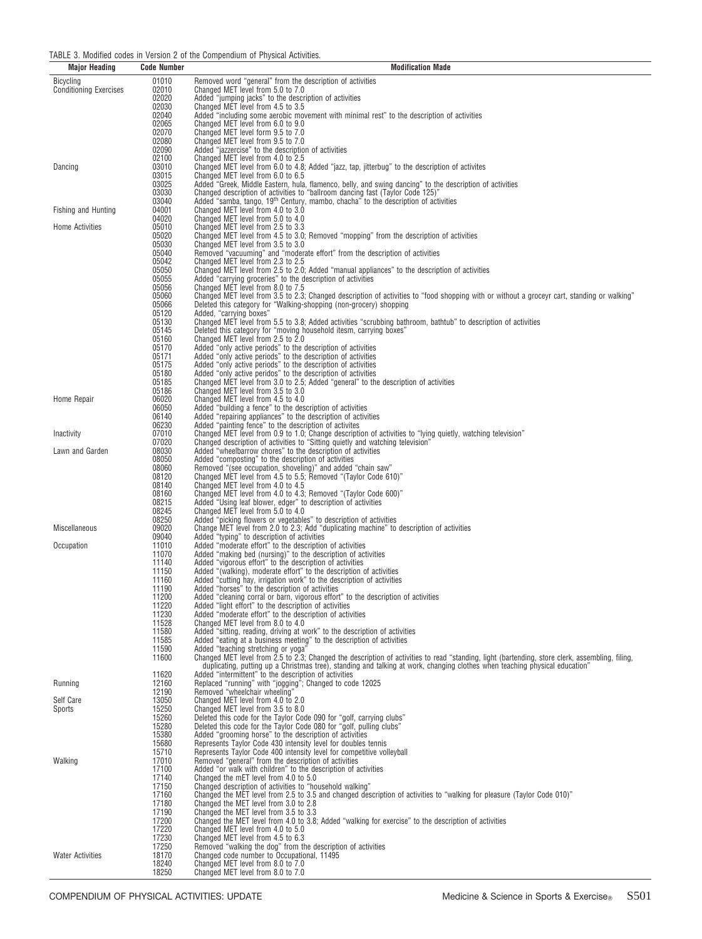## TABLE 3. Modified codes in Version 2 of the Compendium of Physical Activities.

| <b>Major Heading</b>          | <b>Code Number</b> | <b>Modification Made</b>                                                                                                                                                                                                                                                       |
|-------------------------------|--------------------|--------------------------------------------------------------------------------------------------------------------------------------------------------------------------------------------------------------------------------------------------------------------------------|
| Bicycling                     | 01010              | Removed word "general" from the description of activities                                                                                                                                                                                                                      |
| <b>Conditioning Exercises</b> | 02010<br>02020     | Changed MET level from 5.0 to 7.0<br>Added "jumping jacks" to the description of activities                                                                                                                                                                                    |
|                               | 02030              | Changed MET level from 4.5 to 3.5                                                                                                                                                                                                                                              |
|                               | 02040<br>02065     | Added "including some aerobic movement with minimal rest" to the description of activities<br>Changed MET level from 6.0 to 9.0                                                                                                                                                |
|                               | 02070              | Changed MET level form 9.5 to 7.0                                                                                                                                                                                                                                              |
|                               | 02080<br>02090     | Changed MET level from 9.5 to 7.0<br>Added "jazzercise" to the description of activities                                                                                                                                                                                       |
|                               | 02100              | Changed MET level from 4.0 to 2.5                                                                                                                                                                                                                                              |
| Dancing                       | 03010<br>03015     | Changed MET level from 6.0 to 4.8; Added "jazz, tap, jitterbug" to the description of activites                                                                                                                                                                                |
|                               | 03025              | Changed MET level from 6.0 to 6.5<br>Added "Greek, Middle Eastern, hula, flamenco, belly, and swing dancing" to the description of activities                                                                                                                                  |
|                               | 03030<br>03040     | Changed description of activities to "ballroom dancing fast (Taylor Code 125)"                                                                                                                                                                                                 |
| Fishing and Hunting           | 04001              | Added "samba, tango, 19 <sup>th</sup> Century, mambo, chacha" to the description of activities<br>Changed MET level from 4.0 to 3.0                                                                                                                                            |
|                               | 04020<br>05010     | Changed MET level from 5.0 to 4.0                                                                                                                                                                                                                                              |
| <b>Home Activities</b>        | 05020              | Changed MET level from 2.5 to 3.3<br>Changed MET level from 4.5 to 3.0; Removed "mopping" from the description of activities                                                                                                                                                   |
|                               | 05030              | Changed MET level from 3.5 to 3.0                                                                                                                                                                                                                                              |
|                               | 05040<br>05042     | Removed "vacuuming" and "moderate effort" from the description of activities<br>Changed MET level from 2.3 to 2.5                                                                                                                                                              |
|                               | 05050              | Changed MET level from 2.5 to 2.0; Added "manual appliances" to the description of activities                                                                                                                                                                                  |
|                               | 05055<br>05056     | Added "carrying groceries" to the description of activities<br>Changed MET level from 8.0 to 7.5                                                                                                                                                                               |
|                               | 05060              | Changed MET level from 3.5 to 2.3; Changed description of activities to "food shopping with or without a groceyr cart, standing or walking"                                                                                                                                    |
|                               | 05066<br>05120     | Deleted this category for "Walking-shopping (non-grocery) shopping<br>Added, "carrying boxes"                                                                                                                                                                                  |
|                               | 05130              | Changed MET level from 5.5 to 3.8; Added activities "scrubbing bathroom, bathtub" to description of activities                                                                                                                                                                 |
|                               | 05145<br>05160     | Deleted this category for "moving household itesm, carrying boxes"<br>Changed MET level from 2.5 to 2.0                                                                                                                                                                        |
|                               | 05170              | Added "only active periods" to the description of activities                                                                                                                                                                                                                   |
|                               | 05171<br>05175     | Added "only active periods" to the description of activities<br>Added "only active periods" to the description of activities                                                                                                                                                   |
|                               | 05180              | Added "only active peridos" to the description of activities                                                                                                                                                                                                                   |
|                               | 05185<br>05186     | Changed MET level from 3.0 to 2.5; Added "general" to the description of activities<br>Changed MET level from 3.5 to 3.0                                                                                                                                                       |
| Home Repair                   | 06020              | Changed MET level from 4.5 to 4.0                                                                                                                                                                                                                                              |
|                               | 06050<br>06140     | Added "building a fence" to the description of activities<br>Added "repairing appliances" to the description of activities                                                                                                                                                     |
|                               | 06230              | Added "painting fence" to the description of activites                                                                                                                                                                                                                         |
| Inactivity                    | 07010<br>07020     | Changed MET level from 0.9 to 1.0; Change description of activities to "lying quietly, watching television"<br>Changed description of activities to "Sitting quietly and watching television"                                                                                  |
| Lawn and Garden               | 08030              | Added "wheelbarrow chores" to the description of activities                                                                                                                                                                                                                    |
|                               | 08050<br>08060     | Added "composting" to the description of activities<br>Removed "(see occupation, shoveling)" and added "chain saw"                                                                                                                                                             |
|                               | 08120              | Changed MET level from 4.5 to 5.5; Removed "(Taylor Code 610)"<br>Changed MET level from 4.0 to 4.5                                                                                                                                                                            |
|                               | 08140<br>08160     | Changed MET level from 4.0 to 4.3; Removed "(Taylor Code 600)"                                                                                                                                                                                                                 |
|                               | 08215<br>08245     | Added "Using leaf blower, edger" to description of activities<br>Changed MET level from 5.0 to 4.0                                                                                                                                                                             |
|                               | 08250              | Added "picking flowers or vegetables" to description of activities                                                                                                                                                                                                             |
| <b>Miscellaneous</b>          | 09020<br>09040     | Change MET level from 2.0 to 2.3; Add "duplicating machine" to description of activities<br>Added "typing" to description of activities                                                                                                                                        |
| Occupation                    | 11010              | Added "moderate effort" to the description of activities                                                                                                                                                                                                                       |
|                               | 11070<br>11140     | Added "making bed (nursing)" to the description of activities<br>Added "vigorous effort" to the description of activities                                                                                                                                                      |
|                               | 11150              | Added "(walking), moderate effort" to the description of activities                                                                                                                                                                                                            |
|                               | 11160<br>11190     | Added "cutting hay, irrigation work" to the description of activities<br>Added "horses" to the description of activities                                                                                                                                                       |
|                               | 11200              | Added "cleaning corral or barn, vigorous effort" to the description of activities                                                                                                                                                                                              |
|                               | 11220<br>11230     | Added "light effort" to the description of activities<br>Added "moderate effort" to the description of activities                                                                                                                                                              |
|                               | 11528              | Changed MET level from 8.0 to 4.0                                                                                                                                                                                                                                              |
|                               | 11580<br>11585     | Added "sitting, reading, driving at work" to the description of activities<br>Added "eating at a business meeting" to the description of activities                                                                                                                            |
|                               | 11590              | Added "teaching stretching or yoga"                                                                                                                                                                                                                                            |
|                               | 11600              | Changed MET level from 2.5 to 2.3; Changed the description of activities to read "standing, light (bartending, store clerk, assembling, filing,<br>duplicating, putting up a Christmas tree), standing and talking at work, changing clothes when teaching physical education" |
|                               | 11620              | Added "intermittent" to the description of activities                                                                                                                                                                                                                          |
| Running                       | 12160<br>12190     | Replaced "running" with "jogging": Changed to code 12025<br>Removed "wheelchair wheeling"                                                                                                                                                                                      |
| Self Care                     | 13050              | Changed MET level from 4.0 to 2.0                                                                                                                                                                                                                                              |
| Sports                        | 15250<br>15260     | Changed MET level from 3.5 to 8.0<br>Deleted this code for the Taylor Code 090 for "golf, carrying clubs"                                                                                                                                                                      |
|                               | 15280              | Deleted this code for the Taylor Code 080 for "golf, pulling clubs"                                                                                                                                                                                                            |
|                               | 15380<br>15680     | Added "grooming horse" to the description of activities<br>Represents Taylor Code 430 intensity level for doubles tennis                                                                                                                                                       |
|                               | 15710              | Represents Taylor Code 400 intensity level for competitive volleyball                                                                                                                                                                                                          |
| Walking                       | 17010<br>17100     | Removed "general" from the description of activities<br>Added "or walk with children" to the description of activities                                                                                                                                                         |
|                               | 17140<br>17150     | Changed the mET level from 4.0 to 5.0<br>Changed description of activities to "household walking"                                                                                                                                                                              |
|                               | 17160              | Changed the MET level from 2.5 to 3.5 and changed description of activities to "walking for pleasure (Taylor Code 010)"                                                                                                                                                        |
|                               | 17180<br>17190     | Changed the MET level from 3.0 to 2.8<br>Changed the MET level from 3.5 to 3.3                                                                                                                                                                                                 |
|                               | 17200              | Changed the MET level from 4.0 to 3.8; Added "walking for exercise" to the description of activities                                                                                                                                                                           |
|                               | 17220<br>17230     | Changed MET level from 4.0 to 5.0<br>Changed MET level from 4.5 to 6.3                                                                                                                                                                                                         |
|                               | 17250              | Removed "walking the dog" from the description of activities<br>Changed code number to Occupational, 11495                                                                                                                                                                     |
| <b>Water Activities</b>       | 18170<br>18240     | Changed MET level from 8.0 to 7.0                                                                                                                                                                                                                                              |
|                               | 18250              | Changed MET level from 8.0 to 7.0                                                                                                                                                                                                                                              |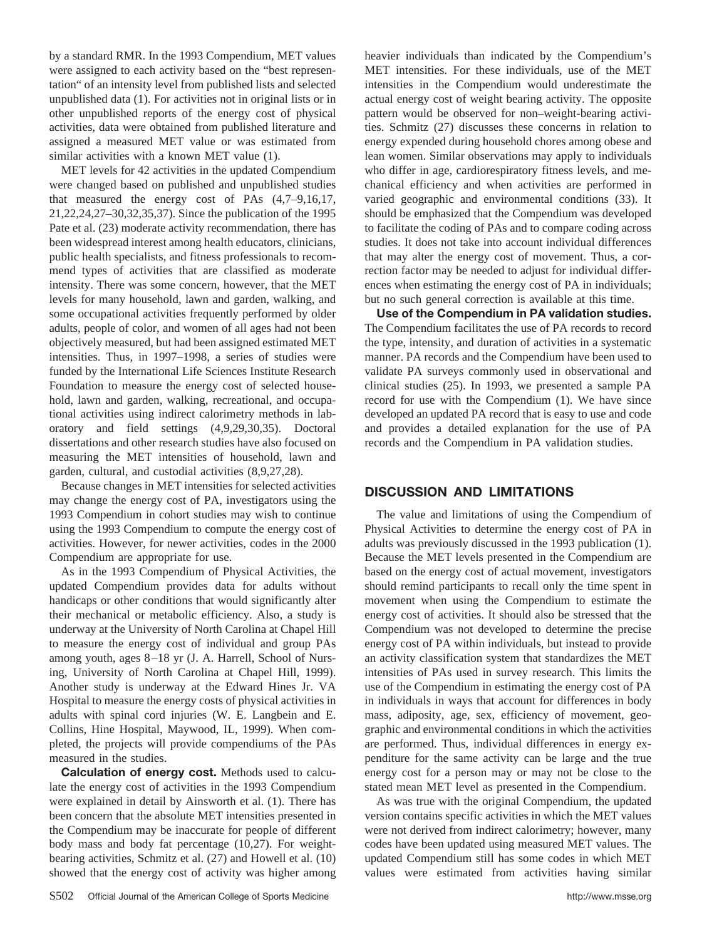by a standard RMR. In the 1993 Compendium, MET values were assigned to each activity based on the "best representation" of an intensity level from published lists and selected unpublished data (1). For activities not in original lists or in other unpublished reports of the energy cost of physical activities, data were obtained from published literature and assigned a measured MET value or was estimated from similar activities with a known MET value (1).

MET levels for 42 activities in the updated Compendium were changed based on published and unpublished studies that measured the energy cost of PAs (4,7–9,16,17, 21,22,24,27–30,32,35,37). Since the publication of the 1995 Pate et al. (23) moderate activity recommendation, there has been widespread interest among health educators, clinicians, public health specialists, and fitness professionals to recommend types of activities that are classified as moderate intensity. There was some concern, however, that the MET levels for many household, lawn and garden, walking, and some occupational activities frequently performed by older adults, people of color, and women of all ages had not been objectively measured, but had been assigned estimated MET intensities. Thus, in 1997–1998, a series of studies were funded by the International Life Sciences Institute Research Foundation to measure the energy cost of selected household, lawn and garden, walking, recreational, and occupational activities using indirect calorimetry methods in laboratory and field settings (4,9,29,30,35). Doctoral dissertations and other research studies have also focused on measuring the MET intensities of household, lawn and garden, cultural, and custodial activities (8,9,27,28).

Because changes in MET intensities for selected activities may change the energy cost of PA, investigators using the 1993 Compendium in cohort studies may wish to continue using the 1993 Compendium to compute the energy cost of activities. However, for newer activities, codes in the 2000 Compendium are appropriate for use.

As in the 1993 Compendium of Physical Activities, the updated Compendium provides data for adults without handicaps or other conditions that would significantly alter their mechanical or metabolic efficiency. Also, a study is underway at the University of North Carolina at Chapel Hill to measure the energy cost of individual and group PAs among youth, ages 8–18 yr (J. A. Harrell, School of Nursing, University of North Carolina at Chapel Hill, 1999). Another study is underway at the Edward Hines Jr. VA Hospital to measure the energy costs of physical activities in adults with spinal cord injuries (W. E. Langbein and E. Collins, Hine Hospital, Maywood, IL, 1999). When completed, the projects will provide compendiums of the PAs measured in the studies.

**Calculation of energy cost.** Methods used to calculate the energy cost of activities in the 1993 Compendium were explained in detail by Ainsworth et al. (1). There has been concern that the absolute MET intensities presented in the Compendium may be inaccurate for people of different body mass and body fat percentage (10,27). For weightbearing activities, Schmitz et al. (27) and Howell et al. (10) showed that the energy cost of activity was higher among heavier individuals than indicated by the Compendium's MET intensities. For these individuals, use of the MET intensities in the Compendium would underestimate the actual energy cost of weight bearing activity. The opposite pattern would be observed for non–weight-bearing activities. Schmitz (27) discusses these concerns in relation to energy expended during household chores among obese and lean women. Similar observations may apply to individuals who differ in age, cardiorespiratory fitness levels, and mechanical efficiency and when activities are performed in varied geographic and environmental conditions (33). It should be emphasized that the Compendium was developed to facilitate the coding of PAs and to compare coding across studies. It does not take into account individual differences that may alter the energy cost of movement. Thus, a correction factor may be needed to adjust for individual differences when estimating the energy cost of PA in individuals; but no such general correction is available at this time.

**Use of the Compendium in PA validation studies.** The Compendium facilitates the use of PA records to record the type, intensity, and duration of activities in a systematic manner. PA records and the Compendium have been used to validate PA surveys commonly used in observational and clinical studies (25). In 1993, we presented a sample PA record for use with the Compendium (1). We have since developed an updated PA record that is easy to use and code and provides a detailed explanation for the use of PA records and the Compendium in PA validation studies.

# **DISCUSSION AND LIMITATIONS**

The value and limitations of using the Compendium of Physical Activities to determine the energy cost of PA in adults was previously discussed in the 1993 publication (1). Because the MET levels presented in the Compendium are based on the energy cost of actual movement, investigators should remind participants to recall only the time spent in movement when using the Compendium to estimate the energy cost of activities. It should also be stressed that the Compendium was not developed to determine the precise energy cost of PA within individuals, but instead to provide an activity classification system that standardizes the MET intensities of PAs used in survey research. This limits the use of the Compendium in estimating the energy cost of PA in individuals in ways that account for differences in body mass, adiposity, age, sex, efficiency of movement, geographic and environmental conditions in which the activities are performed. Thus, individual differences in energy expenditure for the same activity can be large and the true energy cost for a person may or may not be close to the stated mean MET level as presented in the Compendium.

As was true with the original Compendium, the updated version contains specific activities in which the MET values were not derived from indirect calorimetry; however, many codes have been updated using measured MET values. The updated Compendium still has some codes in which MET values were estimated from activities having similar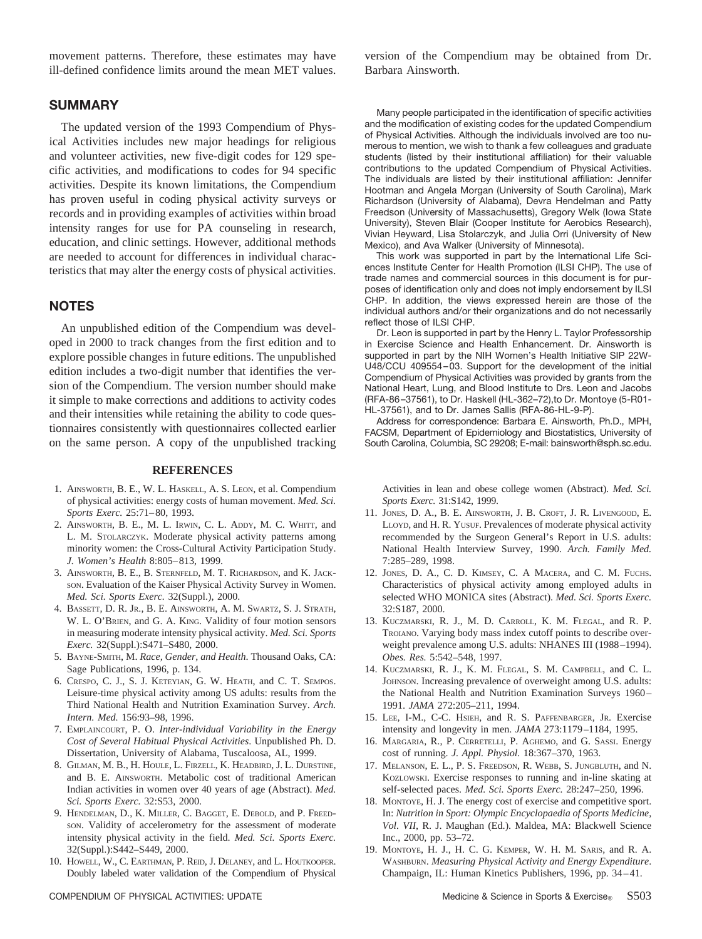movement patterns. Therefore, these estimates may have ill-defined confidence limits around the mean MET values.

# **SUMMARY**

The updated version of the 1993 Compendium of Physical Activities includes new major headings for religious and volunteer activities, new five-digit codes for 129 specific activities, and modifications to codes for 94 specific activities. Despite its known limitations, the Compendium has proven useful in coding physical activity surveys or records and in providing examples of activities within broad intensity ranges for use for PA counseling in research, education, and clinic settings. However, additional methods are needed to account for differences in individual characteristics that may alter the energy costs of physical activities.

## **NOTES**

An unpublished edition of the Compendium was developed in 2000 to track changes from the first edition and to explore possible changes in future editions. The unpublished edition includes a two-digit number that identifies the version of the Compendium. The version number should make it simple to make corrections and additions to activity codes and their intensities while retaining the ability to code questionnaires consistently with questionnaires collected earlier on the same person. A copy of the unpublished tracking

### **REFERENCES**

- 1. AINSWORTH, B. E., W. L. HASKELL, A. S. LEON, et al. Compendium of physical activities: energy costs of human movement. *Med. Sci. Sports Exerc.* 25:71–80, 1993.
- 2. AINSWORTH, B. E., M. L. IRWIN, C. L. ADDY, M. C. WHITT, and L. M. STOLARCZYK. Moderate physical activity patterns among minority women: the Cross-Cultural Activity Participation Study. *J. Women's Health* 8:805–813, 1999.
- 3. AINSWORTH, B. E., B. STERNFELD, M. T. RICHARDSON, and K. JACKson. Evaluation of the Kaiser Physical Activity Survey in Women. *Med. Sci. Sports Exerc.* 32(Suppl.), 2000.
- 4. BASSETT, D. R. JR., B. E. AINSWORTH, A. M. SWARTZ, S. J. STRATH, W. L. O'BRIEN, and G. A. KING. Validity of four motion sensors in measuring moderate intensity physical activity. *Med. Sci. Sports Exerc.* 32(Suppl.):S471–S480, 2000.
- 5. BAYNE-SMITH, M. *Race, Gender, and Health*. Thousand Oaks, CA: Sage Publications, 1996, p. 134.
- 6. CRESPO, C. J., S. J. KETEYIAN, G. W. HEATH, and C. T. SEMPOS. Leisure-time physical activity among US adults: results from the Third National Health and Nutrition Examination Survey. *Arch. Intern. Med.* 156:93–98, 1996.
- 7. EMPLAINCOURT, P. O. *Inter-individual Variability in the Energy Cost of Several Habitual Physical Activities*. Unpublished Ph. D. Dissertation, University of Alabama, Tuscaloosa, AL, 1999.
- 8. GILMAN, M. B., H. HOULE, L. FIRZELL, K. HEADBIRD, J. L. DURSTINE, and B. E. AINSWORTH. Metabolic cost of traditional American *Sci. Sports Exerc.* 32:S53, 2000.
- 9. HENDELMAN, D., K. MILLER, C. BAGGET, E. DEBOLD, and P. FREEDson. Validity of accelerometry for the assessment of moderate intensity physical activity in the field. *Med. Sci. Sports Exerc.* 32(Suppl.):S442–S449, 2000.
- 10. HOWELL, W., C. EARTHMAN, P. REID, J. DELANEY, and L. HOUTKOOPER. Doubly labeled water validation of the Compendium of Physical

Indian activities in women over 40 years of age (Abstract). *Med.*

version of the Compendium may be obtained from Dr. Barbara Ainsworth.

Many people participated in the identification of specific activities and the modification of existing codes for the updated Compendium of Physical Activities. Although the individuals involved are too numerous to mention, we wish to thank a few colleagues and graduate students (listed by their institutional affiliation) for their valuable contributions to the updated Compendium of Physical Activities. The individuals are listed by their institutional affiliation: Jennifer Hootman and Angela Morgan (University of South Carolina), Mark Richardson (University of Alabama), Devra Hendelman and Patty Freedson (University of Massachusetts), Gregory Welk (Iowa State University), Steven Blair (Cooper Institute for Aerobics Research), Vivian Heyward, Lisa Stolarczyk, and Julia Orri (University of New Mexico), and Ava Walker (University of Minnesota).

This work was supported in part by the International Life Sciences Institute Center for Health Promotion (ILSI CHP). The use of trade names and commercial sources in this document is for purposes of identification only and does not imply endorsement by ILSI CHP. In addition, the views expressed herein are those of the individual authors and/or their organizations and do not necessarily reflect those of ILSI CHP.

Dr. Leon is supported in part by the Henry L. Taylor Professorship in Exercise Science and Health Enhancement. Dr. Ainsworth is supported in part by the NIH Women's Health Initiative SIP 22W-U48/CCU 409554–03. Support for the development of the initial Compendium of Physical Activities was provided by grants from the National Heart, Lung, and Blood Institute to Drs. Leon and Jacobs (RFA-86–37561), to Dr. Haskell (HL-362–72),to Dr. Montoye (5-R01- HL-37561), and to Dr. James Sallis (RFA-86-HL-9-P).

Address for correspondence: Barbara E. Ainsworth, Ph.D., MPH, FACSM, Department of Epidemiology and Biostatistics, University of South Carolina, Columbia, SC 29208; E-mail: bainsworth@sph.sc.edu.

Activities in lean and obese college women (Abstract). *Med. Sci. Sports Exerc.* 31:S142, 1999.

- 11. JONES, D. A., B. E. AINSWORTH, J. B. CROFT, J. R. LIVENGOOD, E. LLOYD, and H. R. YUSUF. Prevalences of moderate physical activity recommended by the Surgeon General's Report in U.S. adults: National Health Interview Survey, 1990. *Arch. Family Med.* 7:285–289, 1998.
- 12. JONES, D. A., C. D. KIMSEY, C. A MACERA, and C. M. FUCHS. Characteristics of physical activity among employed adults in selected WHO MONICA sites (Abstract). *Med. Sci. Sports Exerc.* 32:S187, 2000.
- 13. KUCZMARSKI, R. J., M. D. CARROLL, K. M. FLEGAL, and R. P. TROIANO. Varying body mass index cutoff points to describe overweight prevalence among U.S. adults: NHANES III (1988–1994). *Obes. Res.* 5:542–548, 1997.
- 14. KUCZMARSKI, R. J., K. M. FLEGAL, S. M. CAMPBELL, and C. L. JOHNSON. Increasing prevalence of overweight among U.S. adults: the National Health and Nutrition Examination Surveys 1960– 1991. *JAMA* 272:205–211, 1994.
- 15. LEE, I-M., C-C. HSIEH, and R. S. PAFFENBARGER, JR. Exercise intensity and longevity in men. *JAMA* 273:1179–1184, 1995.
- 16. MARGARIA, R., P. CERRETELLI, P. AGHEMO, and G. SASSI. Energy cost of running. *J. Appl. Physiol.* 18:367–370, 1963.
- 17. MELANSON, E. L., P. S. FREEDSON, R. WEBB, S. JUNGBLUTH, and N. KOZLOWSKI. Exercise responses to running and in-line skating at self-selected paces. *Med. Sci. Sports Exerc.* 28:247–250, 1996.
- 18. MONTOYE, H. J. The energy cost of exercise and competitive sport. In: *Nutrition in Sport: Olympic Encyclopaedia of Sports Medicine, Vol. VII*, R. J. Maughan (Ed.). Maldea, MA: Blackwell Science Inc., 2000, pp. 53–72.
- 19. MONTOYE, H. J., H. C. G. KEMPER, W. H. M. SARIS, and R. A. WASHBURN. *Measuring Physical Activity and Energy Expenditure*. Champaign, IL: Human Kinetics Publishers, 1996, pp. 34–41.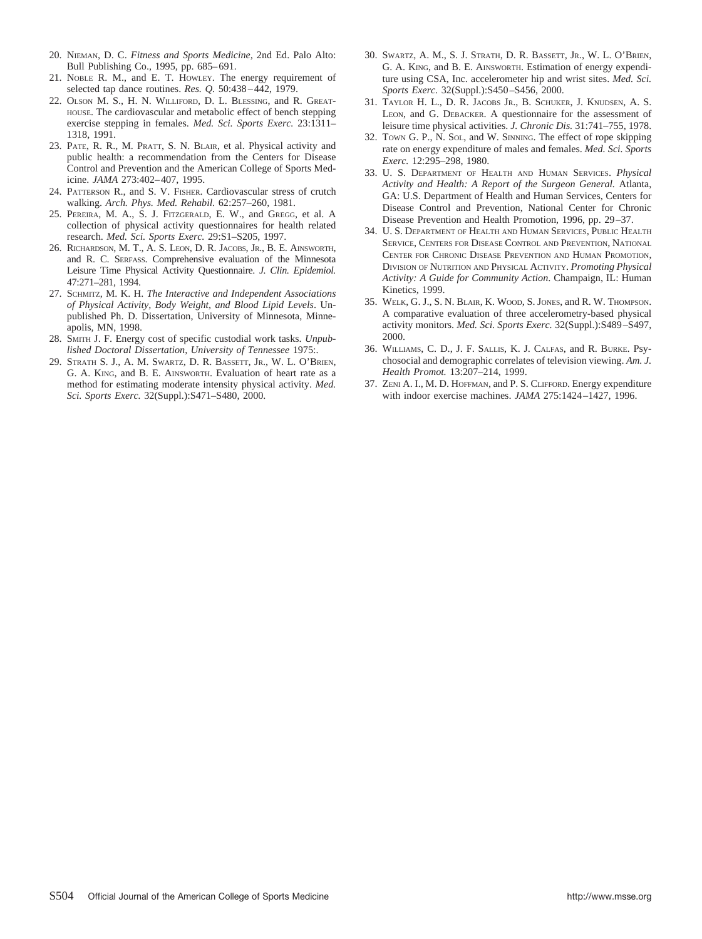- 20. NIEMAN, D. C. *Fitness and Sports Medicine,* 2nd Ed. Palo Alto: Bull Publishing Co., 1995, pp. 685–691.
- 21. NOBLE R. M., and E. T. HOWLEY. The energy requirement of selected tap dance routines. *Res. Q.* 50:438–442, 1979.
- 22. OLSON M. S., H. N. WILLIFORD, D. L. BLESSING, and R. GREAT-HOUSE. The cardiovascular and metabolic effect of bench stepping exercise stepping in females. *Med. Sci. Sports Exerc.* 23:1311– 1318, 1991.
- 23. PATE, R. R., M. PRATT, S. N. BLAIR, et al. Physical activity and public health: a recommendation from the Centers for Disease Control and Prevention and the American College of Sports Medicine. *JAMA* 273:402–407, 1995.
- 24. PATTERSON R., and S. V. FISHER. Cardiovascular stress of crutch walking. *Arch. Phys. Med. Rehabil.* 62:257–260, 1981.
- 25. PEREIRA, M. A., S. J. FITZGERALD, E. W., and GREGG, et al. A collection of physical activity questionnaires for health related research. *Med. Sci. Sports Exerc.* 29:S1–S205, 1997.
- 26. RICHARDSON, M. T., A. S. LEON, D. R. JACOBS, JR., B. E. AINSWORTH, and R. C. SERFASS. Comprehensive evaluation of the Minnesota Leisure Time Physical Activity Questionnaire. *J. Clin. Epidemiol.* 47:271–281, 1994.
- 27. SCHMITZ, M. K. H. *The Interactive and Independent Associations of Physical Activity, Body Weight, and Blood Lipid Levels*. Unpublished Ph. D. Dissertation, University of Minnesota, Minneapolis, MN, 1998.
- 28. SMITH J. F. Energy cost of specific custodial work tasks. *Unpublished Doctoral Dissertation, University of Tennessee* 1975:.
- 29. STRATH S. J., A. M. SWARTZ, D. R. BASSETT, JR., W. L. O'BRIEN, G. A. KING, and B. E. AINSWORTH. Evaluation of heart rate as a method for estimating moderate intensity physical activity. *Med. Sci. Sports Exerc.* 32(Suppl.):S471–S480, 2000.
- 30. SWARTZ, A. M., S. J. STRATH, D. R. BASSETT, JR., W. L. O'BRIEN, G. A. KING, and B. E. AINSWORTH. Estimation of energy expenditure using CSA, Inc. accelerometer hip and wrist sites. *Med. Sci. Sports Exerc.* 32(Suppl.):S450–S456, 2000.
- 31. TAYLOR H. L., D. R. JACOBS JR., B. SCHUKER, J. KNUDSEN, A. S. LEON, and G. DEBACKER. A questionnaire for the assessment of leisure time physical activities. *J. Chronic Dis.* 31:741–755, 1978.
- 32. TOWN G. P., N. SOL, and W. SINNING. The effect of rope skipping rate on energy expenditure of males and females. *Med. Sci. Sports Exerc.* 12:295–298, 1980.
- 33. U. S. DEPARTMENT OF HEALTH AND HUMAN SERVICES. *Physical Activity and Health: A Report of the Surgeon General.* Atlanta, GA: U.S. Department of Health and Human Services, Centers for Disease Control and Prevention, National Center for Chronic Disease Prevention and Health Promotion, 1996, pp. 29–37.
- 34. U. S. DEPARTMENT OF HEALTH AND HUMAN SERVICES, PUBLIC HEALTH SERVICE, CENTERS FOR DISEASE CONTROL AND PREVENTION, NATIONAL CENTER FOR CHRONIC DISEASE PREVENTION AND HUMAN PROMOTION, DIVISION OF NUTRITION AND PHYSICAL ACTIVITY. *Promoting Physical Activity: A Guide for Community Action*. Champaign, IL: Human Kinetics, 1999.
- 35. WELK, G. J., S. N. BLAIR, K. WOOD, S. JONES, and R. W. THOMPSON. A comparative evaluation of three accelerometry-based physical activity monitors. *Med. Sci. Sports Exerc.* 32(Suppl.):S489–S497, 2000.
- 36. WILLIAMS, C. D., J. F. SALLIS, K. J. CALFAS, and R. BURKE. Psychosocial and demographic correlates of television viewing. *Am. J. Health Promot.* 13:207–214, 1999.
- 37. ZENI A. I., M. D. HOFFMAN, and P. S. CLIFFORD. Energy expenditure with indoor exercise machines. *JAMA* 275:1424–1427, 1996.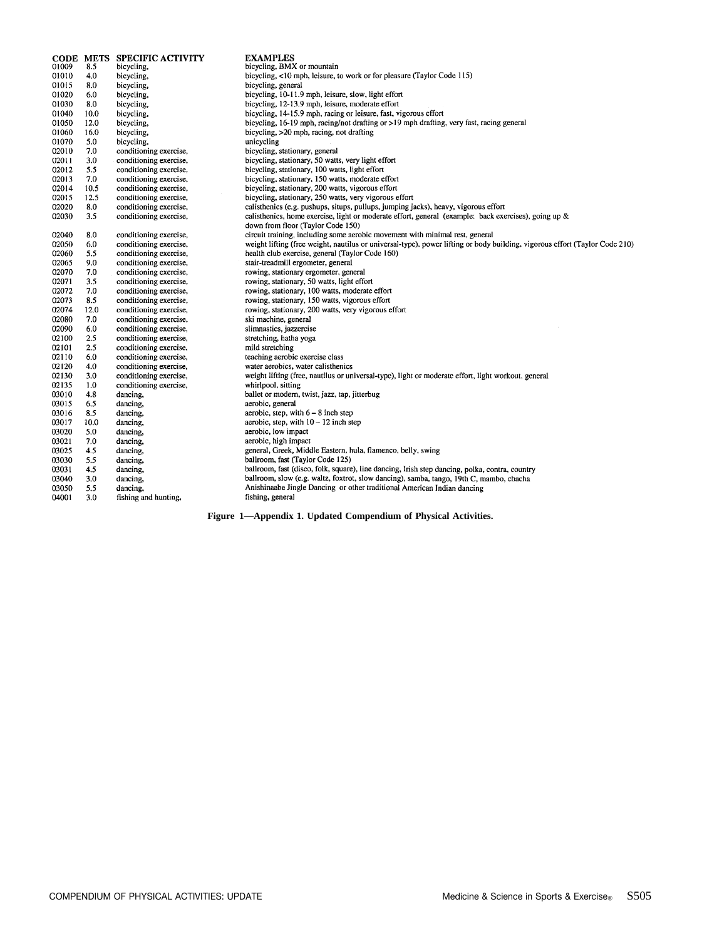| <b>CODE</b> | <b>METS</b> | <b>SPECIFIC ACTIVITY</b> | <b>EXAMPLES</b>                                                                                                             |
|-------------|-------------|--------------------------|-----------------------------------------------------------------------------------------------------------------------------|
| 01009       | 8.5         | bicycling,               | bicycling, BMX or mountain                                                                                                  |
| 01010       | 4.0         | bicycling,               | bicycling, <10 mph, leisure, to work or for pleasure (Taylor Code 115)                                                      |
| 01015       | 8.0         | bicycling,               | bicycling, general                                                                                                          |
| 01020       | 6.0         | bicycling,               | bicycling, 10-11.9 mph, leisure, slow, light effort                                                                         |
| 01030       | 8.0         | bicycling,               | bicycling, 12-13.9 mph, leisure, moderate effort                                                                            |
| 01040       | 10.0        | bicycling,               | bicycling, 14-15.9 mph, racing or leisure, fast, vigorous effort                                                            |
| 01050       | 12.0        | bicycling,               | bicycling, 16-19 mph, racing/not drafting or >19 mph drafting, very fast, racing general                                    |
| 01060       | 16.0        | bicycling,               | bicycling, >20 mph, racing, not drafting                                                                                    |
| 01070       | 5.0         | bicycling,               | unicycling                                                                                                                  |
| 02010       | 7.0         | conditioning exercise,   | bicycling, stationary, general                                                                                              |
| 02011       | 3.0         | conditioning exercise,   | bicycling, stationary, 50 watts, very light effort                                                                          |
| 02012       | 5.5         | conditioning exercise,   | bicycling, stationary, 100 watts, light effort                                                                              |
| 02013       | 7.0         | conditioning exercise,   | bicycling, stationary, 150 watts, moderate effort                                                                           |
| 02014       | 10.5        | conditioning exercise,   | bicycling, stationary, 200 watts, vigorous effort                                                                           |
| 02015       | 12.5        | conditioning exercise,   | bicycling, stationary, 250 watts, very vigorous effort                                                                      |
| 02020       | 8.0         | conditioning exercise,   | calisthenics (e.g. pushups, situps, pullups, jumping jacks), heavy, vigorous effort                                         |
| 02030       | 3.5         | conditioning exercise,   | calisthenics, home exercise, light or moderate effort, general (example: back exercises), going up &                        |
|             |             |                          | down from floor (Taylor Code 150)                                                                                           |
| 02040       | 8.0         | conditioning exercise,   | circuit training, including some aerobic movement with minimal rest, general                                                |
| 02050       | 6.0         | conditioning exercise,   | weight lifting (free weight, nautilus or universal-type), power lifting or body building, vigorous effort (Taylor Code 210) |
| 02060       | 5.5         | conditioning exercise,   | health club exercise, general (Taylor Code 160)                                                                             |
| 02065       | 9.0         | conditioning exercise,   | stair-treadmill ergometer, general                                                                                          |
| 02070       | 7.0         | conditioning exercise,   | rowing, stationary ergometer, general                                                                                       |
| 02071       | 3.5         | conditioning exercise,   | rowing, stationary, 50 watts, light effort                                                                                  |
| 02072       | 7.0         | conditioning exercise,   | rowing, stationary, 100 watts, moderate effort                                                                              |
| 02073       | 8.5         | conditioning exercise,   | rowing, stationary, 150 watts, vigorous effort                                                                              |
| 02074       | 12.0        | conditioning exercise,   | rowing, stationary, 200 watts, very vigorous effort                                                                         |
| 02080       | 7.0         | conditioning exercise,   | ski machine, general                                                                                                        |
| 02090       | 6.0         | conditioning exercise,   | slimnastics, jazzercise                                                                                                     |
| 02100       | $2.5\,$     | conditioning exercise,   | stretching, hatha yoga                                                                                                      |
| 02101       | 2.5         |                          |                                                                                                                             |
|             |             | conditioning exercise,   | mild stretching                                                                                                             |
| 02110       | 6.0         | conditioning exercise,   | teaching aerobic exercise class                                                                                             |
| 02120       | 4.0         | conditioning exercise,   | water aerobics, water calisthenics                                                                                          |
| 02130       | 3.0         | conditioning exercise,   | weight lifting (free, nautilus or universal-type), light or moderate effort, light workout, general                         |
| 02135       | 1.0         | conditioning exercise,   | whirlpool, sitting                                                                                                          |
| 03010       | 4.8         | dancing,                 | ballet or modern, twist, jazz, tap, jitterbug                                                                               |
| 03015       | 6.5         | dancing,                 | aerobic, general                                                                                                            |
| 03016       | 8.5         | dancing,                 | aerobic, step, with $6 - 8$ inch step                                                                                       |
| 03017       | 10.0        | dancing,                 | aerobic, step, with $10 - 12$ inch step                                                                                     |
| 03020       | 5.0         | dancing,                 | aerobic, low impact                                                                                                         |
| 03021       | 7.0         | dancing,                 | aerobic, high impact                                                                                                        |
| 03025       | 4.5         | dancing,                 | general, Greek, Middle Eastern, hula, flamenco, belly, swing                                                                |
| 03030       | 5.5         | dancing,                 | ballroom, fast (Taylor Code 125)                                                                                            |
| 03031       | 4.5         | dancing,                 | ballroom, fast (disco, folk, square), line dancing, Irish step dancing, polka, contra, country                              |
| 03040       | 3.0         | dancing,                 | ballroom, slow (e.g. waltz, foxtrot, slow dancing), samba, tango, 19th C, mambo, chacha                                     |
| 03050       | 5.5         | dancing,                 | Anishinaabe Jingle Dancing or other traditional American Indian dancing                                                     |
| 04001       | 3.0         | fishing and hunting,     | fishing, general                                                                                                            |

| Figure 1—Appendix 1. Updated Compendium of Physical Activities. |
|-----------------------------------------------------------------|
|-----------------------------------------------------------------|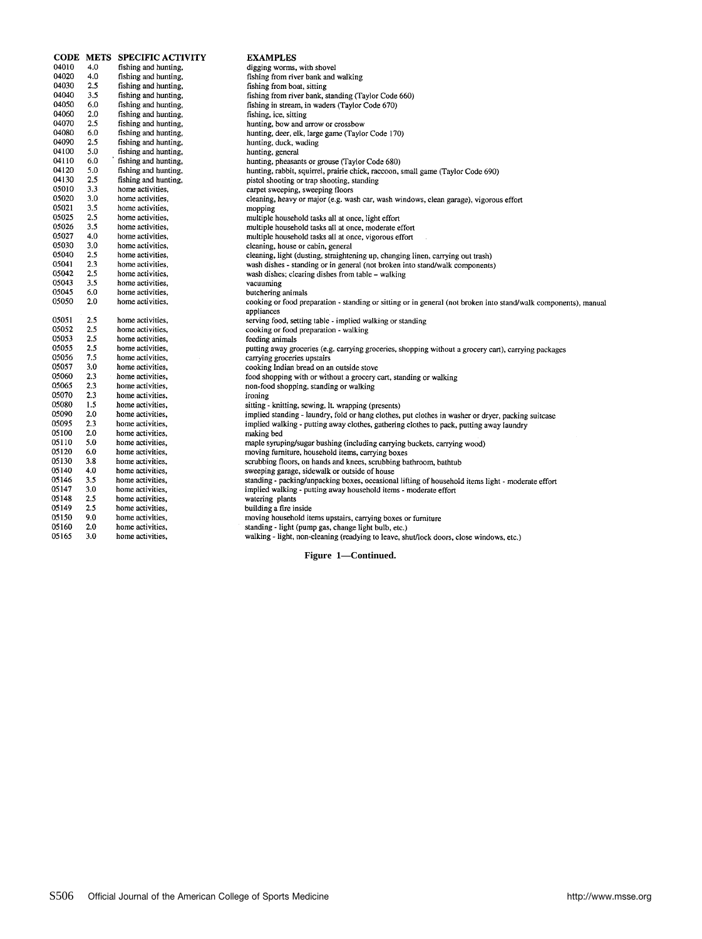|       |     | CODE METS SPECIFIC ACTIVITY | <b>EXAMPLES</b>                                                                                                 |
|-------|-----|-----------------------------|-----------------------------------------------------------------------------------------------------------------|
| 04010 | 4.0 | fishing and hunting,        | digging worms, with shovel                                                                                      |
| 04020 | 4.0 | fishing and hunting,        | fishing from river bank and walking                                                                             |
| 04030 | 2.5 | fishing and hunting,        | fishing from boat, sitting                                                                                      |
| 04040 | 3.5 | fishing and hunting,        | fishing from river bank, standing (Taylor Code 660)                                                             |
| 04050 | 6.0 | fishing and hunting,        | fishing in stream, in waders (Taylor Code 670)                                                                  |
| 04060 | 2.0 | fishing and hunting,        | fishing, ice, sitting                                                                                           |
| 04070 | 2.5 | fishing and hunting,        | hunting, bow and arrow or crossbow                                                                              |
| 04080 | 6.0 | fishing and hunting,        | hunting, deer, elk, large game (Taylor Code 170)                                                                |
| 04090 | 2.5 | fishing and hunting,        | hunting, duck, wading                                                                                           |
| 04100 | 5.0 | fishing and hunting,        | hunting, general                                                                                                |
| 04110 | 60  | fishing and hunting,        | hunting, pheasants or grouse (Taylor Code 680)                                                                  |
| 04120 | 5.0 | fishing and hunting,        | hunting, rabbit, squirrel, prairie chick, raccoon, small game (Taylor Code 690)                                 |
| 04130 | 2.5 | fishing and hunting,        | pistol shooting or trap shooting, standing                                                                      |
| 05010 | 3.3 | home activities.            | carpet sweeping, sweeping floors                                                                                |
| 05020 | 3.0 | home activities,            | cleaning, heavy or major (e.g. wash car, wash windows, clean garage), vigorous effort                           |
| 05021 | 3.5 | home activities,            | mopping                                                                                                         |
| 05025 | 2.5 | home activities,            | multiple household tasks all at once, light effort                                                              |
| 05026 | 3.5 | home activities,            | multiple household tasks all at once, moderate effort                                                           |
| 05027 | 4.0 | home activities.            | multiple household tasks all at once, vigorous effort                                                           |
| 05030 | 3.0 | home activities.            | cleaning, house or cabin, general                                                                               |
| 05040 | 2.5 | home activities,            | cleaning, light (dusting, straightening up, changing linen, carrying out trash)                                 |
| 05041 | 2.3 | home activities,            | wash dishes - standing or in general (not broken into stand/walk components)                                    |
| 05042 | 2.5 | home activities,            | wash dishes; clearing dishes from table – walking                                                               |
| 05043 | 3.5 | home activities,            | vacuuming                                                                                                       |
| 05045 | 6.0 | home activities,            | butchering animals                                                                                              |
| 05050 | 2.0 | home activities,            | cooking or food preparation - standing or sitting or in general (not broken into stand/walk components), manual |
|       |     |                             | appliances                                                                                                      |
| 05051 | 2.5 | home activities,            | serving food, setting table - implied walking or standing                                                       |
| 05052 | 2.5 | home activities.            | cooking or food preparation - walking                                                                           |
| 05053 | 2.5 | home activities,            | feeding animals                                                                                                 |
| 05055 | 2.5 | home activities.            | putting away groceries (e.g. carrying groceries, shopping without a grocery cart), carrying packages            |
| 05056 | 7.5 | home activities.            | carrying groceries upstairs                                                                                     |
| 05057 | 3.0 | home activities,            | cooking Indian bread on an outside stove                                                                        |
| 05060 | 2.3 | home activities,            | food shopping with or without a grocery cart, standing or walking                                               |
| 05065 | 2.3 | home activities,            | non-food shopping, standing or walking                                                                          |
| 05070 | 2.3 | home activities,            | ironing                                                                                                         |
| 05080 | 1.5 | home activities,            | sitting - knitting, sewing, lt. wrapping (presents)                                                             |
| 05090 | 2.0 | home activities.            | implied standing - laundry, fold or hang clothes, put clothes in washer or dryer, packing suitcase              |
| 05095 | 2.3 | home activities,            | implied walking - putting away clothes, gathering clothes to pack, putting away laundry                         |
| 05100 | 2.0 | home activities.            | making bed                                                                                                      |
| 05110 | 5.0 | home activities,            | maple syruping/sugar bushing (including carrying buckets, carrying wood)                                        |
| 05120 | 6.0 | home activities,            | moving furniture, household items, carrying boxes                                                               |
| 05130 | 3.8 | home activities,            | scrubbing floors, on hands and knees, scrubbing bathroom, bathtub                                               |
| 05140 | 4.0 | home activities,            | sweeping garage, sidewalk or outside of house                                                                   |
| 05146 | 3.5 | home activities,            | standing - packing/unpacking boxes, occasional lifting of household items light - moderate effort               |
| 05147 | 3.0 | home activities,            | implied walking - putting away household items - moderate effort                                                |
| 05148 | 2.5 | home activities,            | watering plants                                                                                                 |
| 05149 | 2.5 | home activities,            | building a fire inside                                                                                          |
| 05150 | 9.0 | home activities,            | moving household items upstairs, carrying boxes or furniture                                                    |
| 05160 | 2.0 | home activities.            | standing - light (pump gas, change light bulb, etc.)                                                            |
| 05165 | 3.0 | home activities.            | walking - light, non-cleaning (readying to leave, shut/lock doors, close windows, etc.)                         |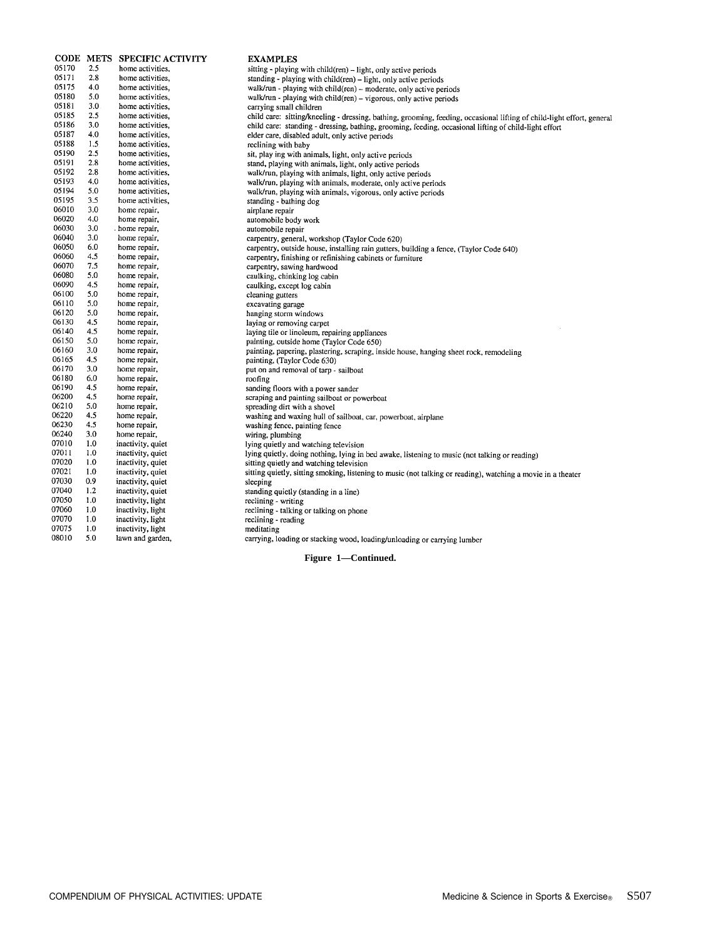|       |     | CODE METS SPECIFIC ACTIVITY | <b>EXAMPLES</b>                                                                                                        |
|-------|-----|-----------------------------|------------------------------------------------------------------------------------------------------------------------|
| 05170 | 2.5 | home activities.            | sitting - playing with child(ren) – light, only active periods                                                         |
| 05171 | 2.8 | home activities,            | standing - playing with child(ren) - light, only active periods                                                        |
| 05175 | 4.0 | home activities,            | walk/run - playing with child(ren) - moderate, only active periods                                                     |
| 05180 | 5.0 | home activities.            | walk/run - playing with child(ren) – vigorous, only active periods                                                     |
| 05181 | 3.0 | home activities,            | carrying small children                                                                                                |
| 05185 | 2.5 | home activities,            | child care: sitting/kneeling - dressing, bathing, grooming, feeding, occasional lifting of child-light effort, general |
| 05186 | 3.0 | home activities,            | child care: standing - dressing, bathing, grooming, feeding, occasional lifting of child-light effort                  |
| 05187 | 4.0 | home activities,            | elder care, disabled adult, only active periods                                                                        |
| 05188 | 1.5 | home activities,            | reclining with baby                                                                                                    |
| 05190 | 2.5 | home activities,            | sit, play ing with animals, light, only active periods                                                                 |
| 05191 | 2.8 | home activities,            | stand, playing with animals, light, only active periods                                                                |
| 05192 | 2.8 | home activities,            | walk/run, playing with animals, light, only active periods                                                             |
| 05193 | 4.0 | home activities,            | walk/run, playing with animals, moderate, only active periods                                                          |
| 05194 | 5.0 | home activities,            | walk/run, playing with animals, vigorous, only active periods                                                          |
| 05195 | 3.5 | home activities,            | standing - bathing dog                                                                                                 |
| 06010 | 3.0 | home repair,                | airplane repair                                                                                                        |
| 06020 | 4.0 | home repair,                | automobile body work                                                                                                   |
| 06030 | 3.0 | home repair,                | automobile repair                                                                                                      |
| 06040 | 3.0 | home repair,                | carpentry, general, workshop (Taylor Code 620)                                                                         |
| 06050 | 6.0 | home repair,                | carpentry, outside house, installing rain gutters, building a fence, (Taylor Code 640)                                 |
| 06060 | 4.5 | home repair,                | carpentry, finishing or refinishing cabinets or furniture                                                              |
| 06070 | 7.5 | home repair,                | carpentry, sawing hardwood                                                                                             |
| 06080 | 5.0 | home repair,                | caulking, chinking log cabin                                                                                           |
| 06090 | 4.5 | home repair,                | caulking, except log cabin                                                                                             |
| 06100 | 5.0 | home repair,                | cleaning gutters                                                                                                       |
| 06110 | 5.0 | home repair,                | excavating garage                                                                                                      |
| 06120 | 5.0 | home repair,                | hanging storm windows                                                                                                  |
| 06130 | 4.5 | home repair,                | laying or removing carpet                                                                                              |
| 06140 | 4.5 | home repair,                | laying tile or linoleum, repairing appliances                                                                          |
| 06150 | 5.0 | home repair,                | painting, outside home (Taylor Code 650)                                                                               |
| 06160 | 3.0 | home repair,                | painting, papering, plastering, scraping, inside house, hanging sheet rock, remodeling                                 |
| 06165 | 4.5 | home repair,                | painting, (Taylor Code 630)                                                                                            |
| 06170 | 3.0 | home repair,                | put on and removal of tarp - sailboat                                                                                  |
| 06180 | 6.0 | home repair,                | roofing                                                                                                                |
| 06190 | 4.5 | home repair,                | sanding floors with a power sander                                                                                     |
| 06200 | 4.5 | home repair,                | scraping and painting sailboat or powerboat                                                                            |
| 06210 | 5.0 | home repair,                | spreading dirt with a shovel                                                                                           |
| 06220 | 4.5 | home repair,                | washing and waxing hull of sailboat, car, powerboat, airplane                                                          |
| 06230 | 4.5 | home repair,                | washing fence, painting fence                                                                                          |
| 06240 | 3.0 | home repair,                | wiring, plumbing                                                                                                       |
| 07010 | 1.0 | inactivity, quiet           | lying quietly and watching television                                                                                  |
| 07011 | 1.0 | inactivity, quiet           | lying quietly, doing nothing, lying in bed awake, listening to music (not talking or reading)                          |
| 07020 | 1.0 | inactivity, quiet           | sitting quietly and watching television                                                                                |
| 07021 | 1.0 | inactivity, quiet           | sitting quietly, sitting smoking, listening to music (not talking or reading), watching a movie in a theater           |
| 07030 | 0.9 | inactivity, quiet           | sleeping                                                                                                               |
| 07040 | 1.2 | inactivity, quiet           | standing quietly (standing in a line)                                                                                  |
| 07050 | 1.0 | inactivity, light           | reclining - writing                                                                                                    |
| 07060 | 1.0 | inactivity, light           | reclining - talking or talking on phone                                                                                |
| 07070 | 1.0 | inactivity, light           | reclining - reading                                                                                                    |
| 07075 | 1.0 | inactivity, light           | meditating                                                                                                             |
| 08010 | 5.0 | lawn and garden,            | carrying, loading or stacking wood, loading/unloading or carrying lumber                                               |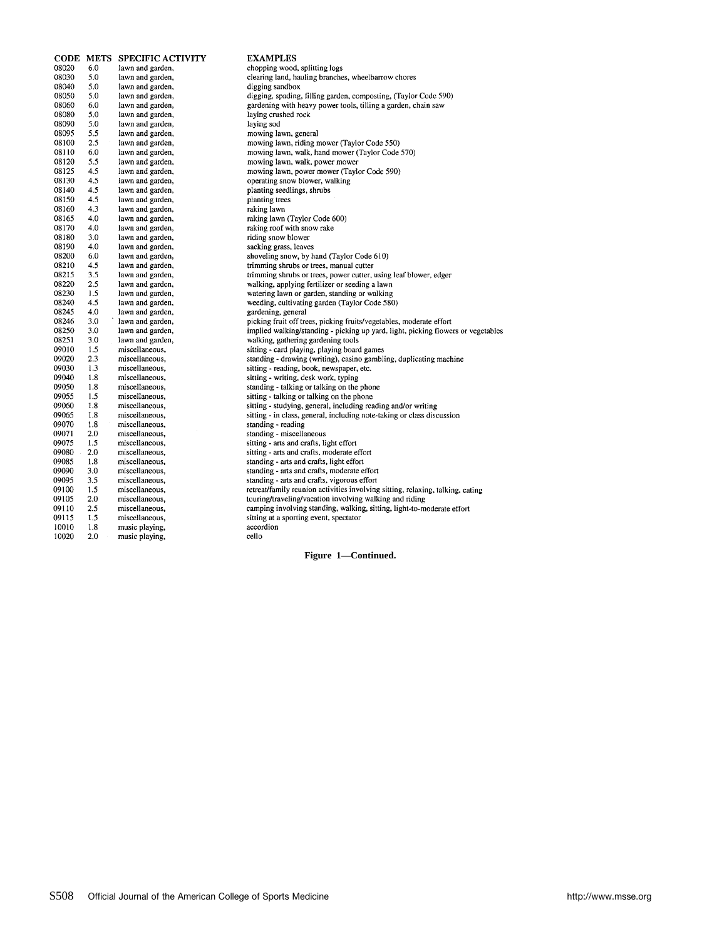| <b>CODE METS</b> |     | <b>SPECIFIC ACTIVITY</b> | <b>EXAMPLES</b>                                                                  |
|------------------|-----|--------------------------|----------------------------------------------------------------------------------|
| 08020            | 6.0 | lawn and garden,         | chopping wood, splitting logs                                                    |
| 08030            | 5.0 | lawn and garden,         | clearing land, hauling branches, wheelbarrow chores                              |
| 08040            | 5.0 | lawn and garden,         | digging sandbox                                                                  |
| 08050            | 5.0 | lawn and garden,         | digging, spading, filling garden, composting, (Taylor Code 590)                  |
| 08060            | 6.0 | lawn and garden,         | gardening with heavy power tools, tilling a garden, chain saw                    |
| 08080            | 5.0 | lawn and garden,         | laying crushed rock                                                              |
| 08090            | 5.0 | lawn and garden,         | laying sod                                                                       |
| 08095            | 5.5 | lawn and garden,         | mowing lawn, general                                                             |
| 08100            | 2.5 | lawn and garden,         | mowing lawn, riding mower (Taylor Code 550)                                      |
| 08110            | 6.0 | lawn and garden,         | mowing lawn, walk, hand mower (Taylor Code 570)                                  |
| 08120            | 5.5 | lawn and garden,         | mowing lawn, walk, power mower                                                   |
| 08125            | 4.5 | lawn and garden,         | mowing lawn, power mower (Taylor Code 590)                                       |
| 08130            | 4.5 | lawn and garden,         | operating snow blower, walking                                                   |
| 08140            | 4,5 | lawn and garden,         | planting seedlings, shrubs                                                       |
| 08150            | 45  | lawn and garden,         | planting trees                                                                   |
| 08160            | 4.3 | lawn and garden,         | raking lawn                                                                      |
| 08165            | 4.0 | lawn and garden,         | raking lawn (Taylor Code 600)                                                    |
| 08170            | 4.0 | lawn and garden,         | raking roof with snow rake                                                       |
| 08180            | 3.0 | lawn and garden,         | riding snow blower                                                               |
| 08190            | 4.0 | lawn and garden,         | sacking grass, leaves                                                            |
| 08200            | 6.0 | lawn and garden,         | shoveling snow, by hand (Taylor Code 610)                                        |
| 08210            | 4.5 | lawn and garden,         | trimming shrubs or trees, manual cutter                                          |
| 08215            | 3.5 | lawn and garden,         | trimming shrubs or trees, power cutter, using leaf blower, edger                 |
| 08220            | 2.5 | lawn and garden,         | walking, applying fertilizer or seeding a lawn                                   |
| 08230            | 1.5 | lawn and garden,         | watering lawn or garden, standing or walking                                     |
| 08240            | 4.5 | lawn and garden,         | weeding, cultivating garden (Taylor Code 580)                                    |
| 08245            | 4.0 | lawn and garden,         | gardening, general                                                               |
| 08246            | 3.0 | lawn and garden,         | picking fruit off trees, picking fruits/vegetables, moderate effort              |
| 08250            | 3.0 | lawn and garden,         | implied walking/standing - picking up yard, light, picking flowers or vegetables |
| 08251            | 3.0 | lawn and garden,         | walking, gathering gardening tools                                               |
| 09010            | 1,5 | miscellaneous,           | sitting - card playing, playing board games                                      |
| 09020            | 2.3 | miscellaneous,           | standing - drawing (writing), casino gambling, duplicating machine               |
| 09030            | 1.3 | miscellaneous,           | sitting - reading, book, newspaper, etc.                                         |
| 09040            | 1.8 | miscellaneous,           | sitting - writing, desk work, typing                                             |
| 09050            | 1.8 | miscellaneous.           | standing - talking or talking on the phone                                       |
| 09055            | 1.5 | miscellaneous.           | sitting - talking or talking on the phone                                        |
| 09060            | 1.8 | miscellaneous,           | sitting - studying, general, including reading and/or writing                    |
| 09065            | 1.8 | miscellaneous,           | sitting - in class, general, including note-taking or class discussion           |
| 09070            | 1.8 | miscellaneous,           | standing - reading                                                               |
| 09071            | 2.0 | miscellaneous,           | standing - miscellaneous                                                         |
| 09075            | 1.5 | miscellaneous,           | sitting - arts and crafts, light effort                                          |
| 09080            | 2.0 | miscellaneous.           | sitting - arts and crafts, moderate effort                                       |
| 09085            | 1.8 | miscellaneous,           | standing - arts and crafts, light effort                                         |
| 09090            | 3.0 | miscellaneous,           | standing - arts and crafts, moderate effort                                      |
| 09095            | 3.5 | miscellaneous,           | standing - arts and crafts, vigorous effort                                      |
| 09100            | 1.5 | miscellaneous,           | retreat/family reunion activities involving sitting, relaxing, talking, eating   |
| 09105            | 2.0 | miscellaneous.           | touring/traveling/vacation involving walking and riding                          |
| 09110            | 2.5 | miscellaneous,           | camping involving standing, walking, sitting, light-to-moderate effort           |
| 09115            | 1.5 | miscellaneous,           | sitting at a sporting event, spectator                                           |
| 10010            | 1.8 | music playing,           | accordion                                                                        |
| 10020            | 2.0 | music playing,           | cello                                                                            |
|                  |     |                          |                                                                                  |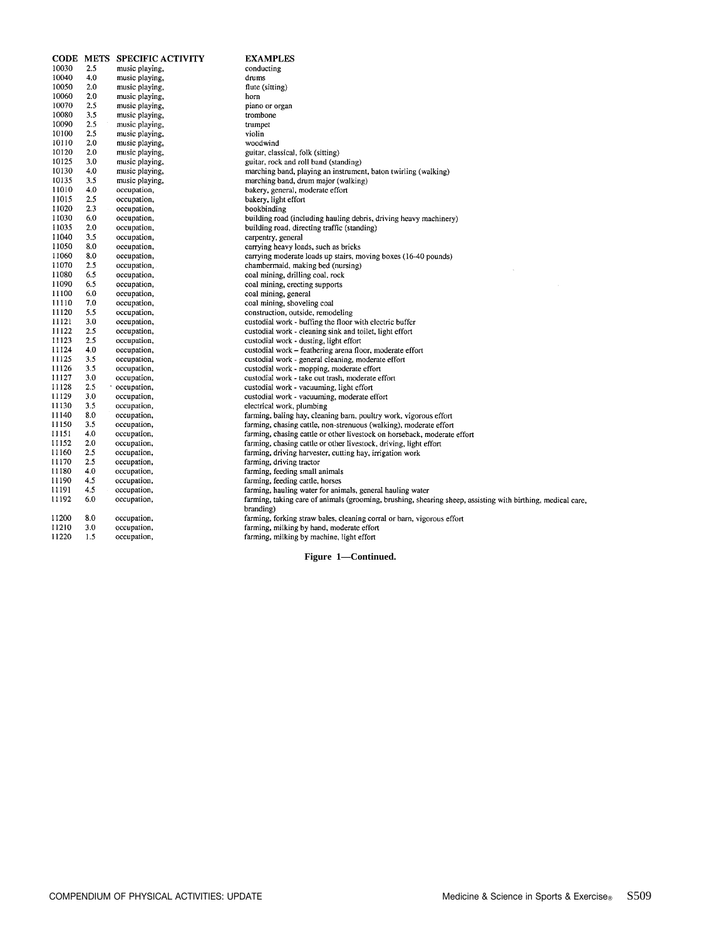|       | <b>CODE METS</b> | <b>SPECIFIC ACTIVITY</b> | <b>EXAMPLES</b>                                                                                             |
|-------|------------------|--------------------------|-------------------------------------------------------------------------------------------------------------|
| 10030 | 2.5              | music playing,           | conducting                                                                                                  |
| 10040 | 4.0              | music playing,           | drums                                                                                                       |
| 10050 | 2.0              | music playing,           | flute (sitting)                                                                                             |
| 10060 | 2.0              | music playing,           | horn                                                                                                        |
| 10070 | 2.5              | music playing,           | piano or organ                                                                                              |
| 10080 | 3.5              | music playing,           | trombone                                                                                                    |
| 10090 | $2.5\,$          | music playing,           | trumpet                                                                                                     |
| 10100 | 2.5              | music playing,           | violin                                                                                                      |
| 10110 | 2.0              | music playing,           | woodwind                                                                                                    |
| 10120 | 2.0              | music playing.           | guitar, classical, folk (sitting)                                                                           |
| 10125 | 3.0              | music playing,           | guitar, rock and roll band (standing)                                                                       |
| 10130 | 4.0              | music playing,           | marching band, playing an instrument, baton twirling (walking)                                              |
| 10135 | 3.5              | music playing,           | marching band, drum major (walking)                                                                         |
| 11010 | 4.0              | occupation,              | bakery, general, moderate effort                                                                            |
| 11015 | 2.5              | occupation,              | bakery, light effort                                                                                        |
| 11020 | 2.3              | occupation,              | bookbinding                                                                                                 |
| 11030 | 6.0              | occupation,              | building road (including hauling debris, driving heavy machinery)                                           |
| 11035 | 2.0              | occupation,              | building road, directing traffic (standing)                                                                 |
| 11040 | 3.5              | occupation,              | carpentry, general                                                                                          |
| 11050 | 8.0              | occupation,              | carrying heavy loads, such as bricks                                                                        |
| 11060 | 8.0              | occupation,              | carrying moderate loads up stairs, moving boxes (16-40 pounds)                                              |
| 11070 | 2.5              | occupation,              | chambermaid, making bed (nursing)                                                                           |
| 11080 | 6.5              | occupation,              | coal mining, drilling coal, rock                                                                            |
| 11090 | 6.5              | occupation,              | coal mining, erecting supports                                                                              |
| 11100 | 6.0              | occupation,              | coal mining, general                                                                                        |
| 11110 | 7.0              | occupation,              | coal mining, shoveling coal                                                                                 |
| 11120 | 5.5              | occupation,              | construction, outside, remodeling                                                                           |
| 11121 | 3.0              | occupation,              | custodial work - buffing the floor with electric buffer                                                     |
| 11122 | 2.5              | occupation,              | custodial work - cleaning sink and toilet, light effort                                                     |
| 11123 | 2.5              | occupation,              | custodial work - dusting, light effort                                                                      |
| 11124 | 4.0              | occupation,              | custodial work - feathering arena floor, moderate effort                                                    |
| 11125 | 3.5              | occupation,              | custodial work - general cleaning, moderate effort                                                          |
| 11126 | 3.5              | occupation,              | custodial work - mopping, moderate effort                                                                   |
| 11127 | 3.0              | occupation,              | custodial work - take out trash, moderate effort                                                            |
| 11128 | 2.5              | occupation,              | custodial work - vacuuming, light effort                                                                    |
| 11129 | 3.0              | occupation,              | custodial work - vacuuming, moderate effort                                                                 |
| 11130 | 3.5              | occupation,              | electrical work, plumbing                                                                                   |
| 11140 | 8.0              | occupation,              | farming, baling hay, cleaning barn, poultry work, vigorous effort                                           |
| 11150 | 3.5              | occupation,              | farming, chasing cattle, non-strenuous (walking), moderate effort                                           |
| 11151 | 4.0              | occupation,              | farming, chasing cattle or other livestock on horseback, moderate effort                                    |
| 11152 | 2.0              | occupation,              | farming, chasing cattle or other livestock, driving, light effort                                           |
| 11160 | 2.5              | occupation,              | farming, driving harvester, cutting hay, irrigation work                                                    |
| 11170 | 2.5              | occupation,              | farming, driving tractor                                                                                    |
| 11180 | 4.0              | occupation,              | farming, feeding small animals                                                                              |
| 11190 | 4.5              | occupation,              | farming, feeding cattle, horses                                                                             |
| 11191 | 4.5              | occupation,              | farming, hauling water for animals, general hauling water                                                   |
| 11192 | 6.0              | occupation,              | farming, taking care of animals (grooming, brushing, shearing sheep, assisting with birthing, medical care, |
|       |                  |                          | branding)                                                                                                   |
| 11200 | 8.0              | occupation,              | farming, forking straw bales, cleaning corral or barn, vigorous effort                                      |
| 11210 | 3.0              | occupation,              | farming, milking by hand, moderate effort                                                                   |
| 11220 | 1.5              | occupation,              | farming, milking by machine, light effort                                                                   |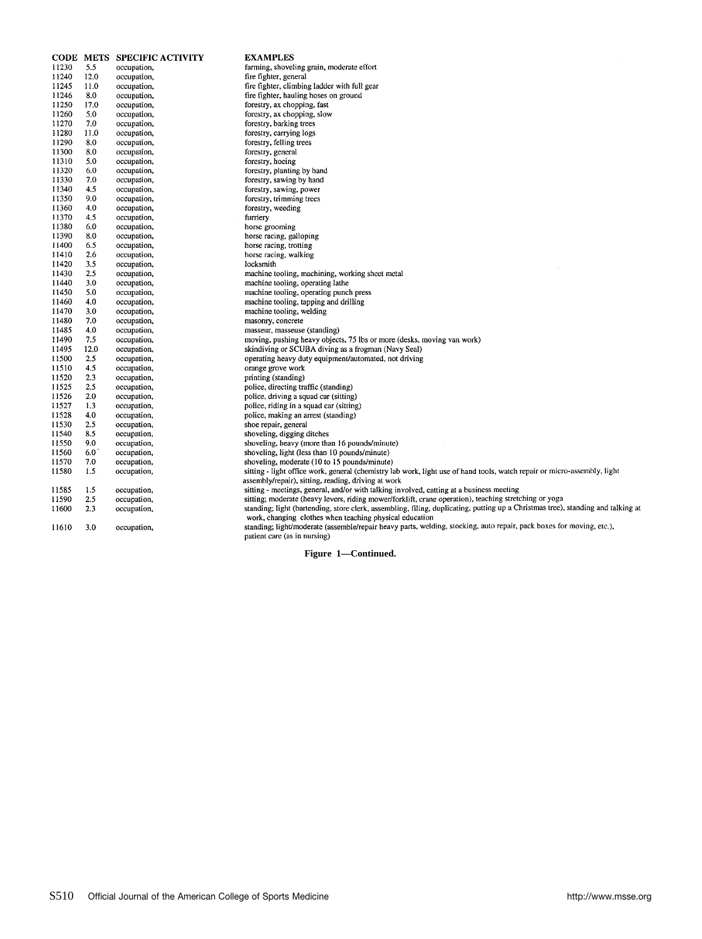| 11230<br>farming, shoveling grain, moderate effort<br>5.5<br>occupation,<br>12.0<br>11240<br>fire fighter, general<br>occupation,<br>11245<br>11.0<br>fire fighter, climbing ladder with full gear<br>occupation,<br>11246<br>8.0<br>fire fighter, hauling hoses on ground<br>occupation,<br>11250<br>17.0<br>forestry, ax chopping, fast<br>occupation,<br>11260<br>5.0<br>forestry, ax chopping, slow<br>occupation,<br>11270<br>7.0<br>forestry, barking trees<br>occupation,<br>11280<br>11.0<br>occupation,<br>forestry, carrying logs<br>11290<br>8.0<br>forestry, felling trees<br>occupation,<br>11300<br>8.0<br>occupation,<br>forestry, general<br>11310<br>5.0<br>occupation,<br>forestry, hoeing<br>11320<br>6.0<br>occupation,<br>forestry, planting by hand<br>11330<br>7.0<br>occupation,<br>forestry, sawing by hand<br>11340<br>4.5<br>occupation,<br>forestry, sawing, power<br>11350<br>9.0<br>forestry, trimming trees<br>occupation,<br>11360<br>4.0<br>forestry, weeding<br>occupation,<br>11370<br>4.5<br>occupation,<br>furriery<br>11380<br>6.0<br>occupation,<br>horse grooming<br>11390<br>8.0<br>horse racing, galloping<br>occupation,<br>11400<br>6.5<br>occupation,<br>horse racing, trotting<br>11410<br>2.6<br>occupation,<br>horse racing, walking<br>11420<br>3.5<br>occupation,<br>locksmith<br>11430<br>2.5<br>machine tooling, machining, working sheet metal<br>occupation,<br>11440<br>3.0<br>machine tooling, operating lathe<br>occupation,<br>11450<br>machine tooling, operating punch press<br>5.0<br>occupation,<br>11460<br>4.0<br>occupation,<br>machine tooling, tapping and drilling<br>11470<br>3.0<br>machine tooling, welding<br>occupation,<br>11480<br>7.0<br>masonry, concrete<br>occupation,<br>11485<br>4.0<br>masseur, masseuse (standing)<br>occupation,<br>moving, pushing heavy objects, 75 lbs or more (desks, moving van work)<br>11490<br>7.5<br>occupation,<br>11495<br>12.0<br>occupation,<br>skindiving or SCUBA diving as a frogman (Navy Seal)<br>11500<br>$2.5\,$<br>operating heavy duty equipment/automated, not driving<br>occupation,<br>11510<br>4.5<br>orange grove work<br>occupation,<br>11520<br>2.3<br>printing (standing)<br>occupation,<br>11525<br>2.5<br>police, directing traffic (standing)<br>occupation,<br>11526<br>2.0<br>occupation,<br>police, driving a squad car (sitting)<br>11527<br>1.3<br>police, riding in a squad car (sitting)<br>occupation,<br>11528<br>4.0<br>police, making an arrest (standing)<br>occupation,<br>11530<br>2.5<br>shoe repair, general<br>occupation,<br>11540<br>8.5<br>occupation,<br>shoveling, digging ditches<br>11550<br>9.0<br>shoveling, heavy (more than 16 pounds/minute)<br>occupation,<br>11560<br>$6.0^{\circ}$<br>shoveling, light (less than 10 pounds/minute)<br>occupation,<br>11570<br>7.0<br>shoveling, moderate (10 to 15 pounds/minute)<br>occupation,<br>sitting - light office work, general (chemistry lab work, light use of hand tools, watch repair or micro-assembly, light<br>11580<br>1.5<br>occupation,<br>assembly/repair), sitting, reading, driving at work<br>1.5<br>sitting - meetings, general, and/or with talking involved, eatting at a business meeting<br>11585<br>occupation,<br>sitting; moderate (heavy levers, riding mower/forklift, crane operation), teaching stretching or yoga<br>11590<br>2.5<br>occupation,<br>standing; light (bartending, store clerk, assembling, filing, duplicating, putting up a Christmas tree), standing and talking at<br>11600<br>2.3<br>occupation,<br>work, changing clothes when teaching physical education |       |     | CODE METS SPECIFIC ACTIVITY | <b>EXAMPLES</b>                                                                                                      |
|---------------------------------------------------------------------------------------------------------------------------------------------------------------------------------------------------------------------------------------------------------------------------------------------------------------------------------------------------------------------------------------------------------------------------------------------------------------------------------------------------------------------------------------------------------------------------------------------------------------------------------------------------------------------------------------------------------------------------------------------------------------------------------------------------------------------------------------------------------------------------------------------------------------------------------------------------------------------------------------------------------------------------------------------------------------------------------------------------------------------------------------------------------------------------------------------------------------------------------------------------------------------------------------------------------------------------------------------------------------------------------------------------------------------------------------------------------------------------------------------------------------------------------------------------------------------------------------------------------------------------------------------------------------------------------------------------------------------------------------------------------------------------------------------------------------------------------------------------------------------------------------------------------------------------------------------------------------------------------------------------------------------------------------------------------------------------------------------------------------------------------------------------------------------------------------------------------------------------------------------------------------------------------------------------------------------------------------------------------------------------------------------------------------------------------------------------------------------------------------------------------------------------------------------------------------------------------------------------------------------------------------------------------------------------------------------------------------------------------------------------------------------------------------------------------------------------------------------------------------------------------------------------------------------------------------------------------------------------------------------------------------------------------------------------------------------------------------------------------------------------------------------------------------------------------------------------------------------------------------------------------------------------------------------------------------------------------------------------------------------------------------------------------------------------------------------------------------------------------------------------------------------------------------------------------------------------------------------------------------------------|-------|-----|-----------------------------|----------------------------------------------------------------------------------------------------------------------|
|                                                                                                                                                                                                                                                                                                                                                                                                                                                                                                                                                                                                                                                                                                                                                                                                                                                                                                                                                                                                                                                                                                                                                                                                                                                                                                                                                                                                                                                                                                                                                                                                                                                                                                                                                                                                                                                                                                                                                                                                                                                                                                                                                                                                                                                                                                                                                                                                                                                                                                                                                                                                                                                                                                                                                                                                                                                                                                                                                                                                                                                                                                                                                                                                                                                                                                                                                                                                                                                                                                                                                                                                                           |       |     |                             |                                                                                                                      |
|                                                                                                                                                                                                                                                                                                                                                                                                                                                                                                                                                                                                                                                                                                                                                                                                                                                                                                                                                                                                                                                                                                                                                                                                                                                                                                                                                                                                                                                                                                                                                                                                                                                                                                                                                                                                                                                                                                                                                                                                                                                                                                                                                                                                                                                                                                                                                                                                                                                                                                                                                                                                                                                                                                                                                                                                                                                                                                                                                                                                                                                                                                                                                                                                                                                                                                                                                                                                                                                                                                                                                                                                                           |       |     |                             |                                                                                                                      |
|                                                                                                                                                                                                                                                                                                                                                                                                                                                                                                                                                                                                                                                                                                                                                                                                                                                                                                                                                                                                                                                                                                                                                                                                                                                                                                                                                                                                                                                                                                                                                                                                                                                                                                                                                                                                                                                                                                                                                                                                                                                                                                                                                                                                                                                                                                                                                                                                                                                                                                                                                                                                                                                                                                                                                                                                                                                                                                                                                                                                                                                                                                                                                                                                                                                                                                                                                                                                                                                                                                                                                                                                                           |       |     |                             |                                                                                                                      |
|                                                                                                                                                                                                                                                                                                                                                                                                                                                                                                                                                                                                                                                                                                                                                                                                                                                                                                                                                                                                                                                                                                                                                                                                                                                                                                                                                                                                                                                                                                                                                                                                                                                                                                                                                                                                                                                                                                                                                                                                                                                                                                                                                                                                                                                                                                                                                                                                                                                                                                                                                                                                                                                                                                                                                                                                                                                                                                                                                                                                                                                                                                                                                                                                                                                                                                                                                                                                                                                                                                                                                                                                                           |       |     |                             |                                                                                                                      |
|                                                                                                                                                                                                                                                                                                                                                                                                                                                                                                                                                                                                                                                                                                                                                                                                                                                                                                                                                                                                                                                                                                                                                                                                                                                                                                                                                                                                                                                                                                                                                                                                                                                                                                                                                                                                                                                                                                                                                                                                                                                                                                                                                                                                                                                                                                                                                                                                                                                                                                                                                                                                                                                                                                                                                                                                                                                                                                                                                                                                                                                                                                                                                                                                                                                                                                                                                                                                                                                                                                                                                                                                                           |       |     |                             |                                                                                                                      |
|                                                                                                                                                                                                                                                                                                                                                                                                                                                                                                                                                                                                                                                                                                                                                                                                                                                                                                                                                                                                                                                                                                                                                                                                                                                                                                                                                                                                                                                                                                                                                                                                                                                                                                                                                                                                                                                                                                                                                                                                                                                                                                                                                                                                                                                                                                                                                                                                                                                                                                                                                                                                                                                                                                                                                                                                                                                                                                                                                                                                                                                                                                                                                                                                                                                                                                                                                                                                                                                                                                                                                                                                                           |       |     |                             |                                                                                                                      |
|                                                                                                                                                                                                                                                                                                                                                                                                                                                                                                                                                                                                                                                                                                                                                                                                                                                                                                                                                                                                                                                                                                                                                                                                                                                                                                                                                                                                                                                                                                                                                                                                                                                                                                                                                                                                                                                                                                                                                                                                                                                                                                                                                                                                                                                                                                                                                                                                                                                                                                                                                                                                                                                                                                                                                                                                                                                                                                                                                                                                                                                                                                                                                                                                                                                                                                                                                                                                                                                                                                                                                                                                                           |       |     |                             |                                                                                                                      |
|                                                                                                                                                                                                                                                                                                                                                                                                                                                                                                                                                                                                                                                                                                                                                                                                                                                                                                                                                                                                                                                                                                                                                                                                                                                                                                                                                                                                                                                                                                                                                                                                                                                                                                                                                                                                                                                                                                                                                                                                                                                                                                                                                                                                                                                                                                                                                                                                                                                                                                                                                                                                                                                                                                                                                                                                                                                                                                                                                                                                                                                                                                                                                                                                                                                                                                                                                                                                                                                                                                                                                                                                                           |       |     |                             |                                                                                                                      |
|                                                                                                                                                                                                                                                                                                                                                                                                                                                                                                                                                                                                                                                                                                                                                                                                                                                                                                                                                                                                                                                                                                                                                                                                                                                                                                                                                                                                                                                                                                                                                                                                                                                                                                                                                                                                                                                                                                                                                                                                                                                                                                                                                                                                                                                                                                                                                                                                                                                                                                                                                                                                                                                                                                                                                                                                                                                                                                                                                                                                                                                                                                                                                                                                                                                                                                                                                                                                                                                                                                                                                                                                                           |       |     |                             |                                                                                                                      |
|                                                                                                                                                                                                                                                                                                                                                                                                                                                                                                                                                                                                                                                                                                                                                                                                                                                                                                                                                                                                                                                                                                                                                                                                                                                                                                                                                                                                                                                                                                                                                                                                                                                                                                                                                                                                                                                                                                                                                                                                                                                                                                                                                                                                                                                                                                                                                                                                                                                                                                                                                                                                                                                                                                                                                                                                                                                                                                                                                                                                                                                                                                                                                                                                                                                                                                                                                                                                                                                                                                                                                                                                                           |       |     |                             |                                                                                                                      |
|                                                                                                                                                                                                                                                                                                                                                                                                                                                                                                                                                                                                                                                                                                                                                                                                                                                                                                                                                                                                                                                                                                                                                                                                                                                                                                                                                                                                                                                                                                                                                                                                                                                                                                                                                                                                                                                                                                                                                                                                                                                                                                                                                                                                                                                                                                                                                                                                                                                                                                                                                                                                                                                                                                                                                                                                                                                                                                                                                                                                                                                                                                                                                                                                                                                                                                                                                                                                                                                                                                                                                                                                                           |       |     |                             |                                                                                                                      |
|                                                                                                                                                                                                                                                                                                                                                                                                                                                                                                                                                                                                                                                                                                                                                                                                                                                                                                                                                                                                                                                                                                                                                                                                                                                                                                                                                                                                                                                                                                                                                                                                                                                                                                                                                                                                                                                                                                                                                                                                                                                                                                                                                                                                                                                                                                                                                                                                                                                                                                                                                                                                                                                                                                                                                                                                                                                                                                                                                                                                                                                                                                                                                                                                                                                                                                                                                                                                                                                                                                                                                                                                                           |       |     |                             |                                                                                                                      |
|                                                                                                                                                                                                                                                                                                                                                                                                                                                                                                                                                                                                                                                                                                                                                                                                                                                                                                                                                                                                                                                                                                                                                                                                                                                                                                                                                                                                                                                                                                                                                                                                                                                                                                                                                                                                                                                                                                                                                                                                                                                                                                                                                                                                                                                                                                                                                                                                                                                                                                                                                                                                                                                                                                                                                                                                                                                                                                                                                                                                                                                                                                                                                                                                                                                                                                                                                                                                                                                                                                                                                                                                                           |       |     |                             |                                                                                                                      |
|                                                                                                                                                                                                                                                                                                                                                                                                                                                                                                                                                                                                                                                                                                                                                                                                                                                                                                                                                                                                                                                                                                                                                                                                                                                                                                                                                                                                                                                                                                                                                                                                                                                                                                                                                                                                                                                                                                                                                                                                                                                                                                                                                                                                                                                                                                                                                                                                                                                                                                                                                                                                                                                                                                                                                                                                                                                                                                                                                                                                                                                                                                                                                                                                                                                                                                                                                                                                                                                                                                                                                                                                                           |       |     |                             |                                                                                                                      |
|                                                                                                                                                                                                                                                                                                                                                                                                                                                                                                                                                                                                                                                                                                                                                                                                                                                                                                                                                                                                                                                                                                                                                                                                                                                                                                                                                                                                                                                                                                                                                                                                                                                                                                                                                                                                                                                                                                                                                                                                                                                                                                                                                                                                                                                                                                                                                                                                                                                                                                                                                                                                                                                                                                                                                                                                                                                                                                                                                                                                                                                                                                                                                                                                                                                                                                                                                                                                                                                                                                                                                                                                                           |       |     |                             |                                                                                                                      |
|                                                                                                                                                                                                                                                                                                                                                                                                                                                                                                                                                                                                                                                                                                                                                                                                                                                                                                                                                                                                                                                                                                                                                                                                                                                                                                                                                                                                                                                                                                                                                                                                                                                                                                                                                                                                                                                                                                                                                                                                                                                                                                                                                                                                                                                                                                                                                                                                                                                                                                                                                                                                                                                                                                                                                                                                                                                                                                                                                                                                                                                                                                                                                                                                                                                                                                                                                                                                                                                                                                                                                                                                                           |       |     |                             |                                                                                                                      |
|                                                                                                                                                                                                                                                                                                                                                                                                                                                                                                                                                                                                                                                                                                                                                                                                                                                                                                                                                                                                                                                                                                                                                                                                                                                                                                                                                                                                                                                                                                                                                                                                                                                                                                                                                                                                                                                                                                                                                                                                                                                                                                                                                                                                                                                                                                                                                                                                                                                                                                                                                                                                                                                                                                                                                                                                                                                                                                                                                                                                                                                                                                                                                                                                                                                                                                                                                                                                                                                                                                                                                                                                                           |       |     |                             |                                                                                                                      |
|                                                                                                                                                                                                                                                                                                                                                                                                                                                                                                                                                                                                                                                                                                                                                                                                                                                                                                                                                                                                                                                                                                                                                                                                                                                                                                                                                                                                                                                                                                                                                                                                                                                                                                                                                                                                                                                                                                                                                                                                                                                                                                                                                                                                                                                                                                                                                                                                                                                                                                                                                                                                                                                                                                                                                                                                                                                                                                                                                                                                                                                                                                                                                                                                                                                                                                                                                                                                                                                                                                                                                                                                                           |       |     |                             |                                                                                                                      |
|                                                                                                                                                                                                                                                                                                                                                                                                                                                                                                                                                                                                                                                                                                                                                                                                                                                                                                                                                                                                                                                                                                                                                                                                                                                                                                                                                                                                                                                                                                                                                                                                                                                                                                                                                                                                                                                                                                                                                                                                                                                                                                                                                                                                                                                                                                                                                                                                                                                                                                                                                                                                                                                                                                                                                                                                                                                                                                                                                                                                                                                                                                                                                                                                                                                                                                                                                                                                                                                                                                                                                                                                                           |       |     |                             |                                                                                                                      |
|                                                                                                                                                                                                                                                                                                                                                                                                                                                                                                                                                                                                                                                                                                                                                                                                                                                                                                                                                                                                                                                                                                                                                                                                                                                                                                                                                                                                                                                                                                                                                                                                                                                                                                                                                                                                                                                                                                                                                                                                                                                                                                                                                                                                                                                                                                                                                                                                                                                                                                                                                                                                                                                                                                                                                                                                                                                                                                                                                                                                                                                                                                                                                                                                                                                                                                                                                                                                                                                                                                                                                                                                                           |       |     |                             |                                                                                                                      |
|                                                                                                                                                                                                                                                                                                                                                                                                                                                                                                                                                                                                                                                                                                                                                                                                                                                                                                                                                                                                                                                                                                                                                                                                                                                                                                                                                                                                                                                                                                                                                                                                                                                                                                                                                                                                                                                                                                                                                                                                                                                                                                                                                                                                                                                                                                                                                                                                                                                                                                                                                                                                                                                                                                                                                                                                                                                                                                                                                                                                                                                                                                                                                                                                                                                                                                                                                                                                                                                                                                                                                                                                                           |       |     |                             |                                                                                                                      |
|                                                                                                                                                                                                                                                                                                                                                                                                                                                                                                                                                                                                                                                                                                                                                                                                                                                                                                                                                                                                                                                                                                                                                                                                                                                                                                                                                                                                                                                                                                                                                                                                                                                                                                                                                                                                                                                                                                                                                                                                                                                                                                                                                                                                                                                                                                                                                                                                                                                                                                                                                                                                                                                                                                                                                                                                                                                                                                                                                                                                                                                                                                                                                                                                                                                                                                                                                                                                                                                                                                                                                                                                                           |       |     |                             |                                                                                                                      |
|                                                                                                                                                                                                                                                                                                                                                                                                                                                                                                                                                                                                                                                                                                                                                                                                                                                                                                                                                                                                                                                                                                                                                                                                                                                                                                                                                                                                                                                                                                                                                                                                                                                                                                                                                                                                                                                                                                                                                                                                                                                                                                                                                                                                                                                                                                                                                                                                                                                                                                                                                                                                                                                                                                                                                                                                                                                                                                                                                                                                                                                                                                                                                                                                                                                                                                                                                                                                                                                                                                                                                                                                                           |       |     |                             |                                                                                                                      |
|                                                                                                                                                                                                                                                                                                                                                                                                                                                                                                                                                                                                                                                                                                                                                                                                                                                                                                                                                                                                                                                                                                                                                                                                                                                                                                                                                                                                                                                                                                                                                                                                                                                                                                                                                                                                                                                                                                                                                                                                                                                                                                                                                                                                                                                                                                                                                                                                                                                                                                                                                                                                                                                                                                                                                                                                                                                                                                                                                                                                                                                                                                                                                                                                                                                                                                                                                                                                                                                                                                                                                                                                                           |       |     |                             |                                                                                                                      |
|                                                                                                                                                                                                                                                                                                                                                                                                                                                                                                                                                                                                                                                                                                                                                                                                                                                                                                                                                                                                                                                                                                                                                                                                                                                                                                                                                                                                                                                                                                                                                                                                                                                                                                                                                                                                                                                                                                                                                                                                                                                                                                                                                                                                                                                                                                                                                                                                                                                                                                                                                                                                                                                                                                                                                                                                                                                                                                                                                                                                                                                                                                                                                                                                                                                                                                                                                                                                                                                                                                                                                                                                                           |       |     |                             |                                                                                                                      |
|                                                                                                                                                                                                                                                                                                                                                                                                                                                                                                                                                                                                                                                                                                                                                                                                                                                                                                                                                                                                                                                                                                                                                                                                                                                                                                                                                                                                                                                                                                                                                                                                                                                                                                                                                                                                                                                                                                                                                                                                                                                                                                                                                                                                                                                                                                                                                                                                                                                                                                                                                                                                                                                                                                                                                                                                                                                                                                                                                                                                                                                                                                                                                                                                                                                                                                                                                                                                                                                                                                                                                                                                                           |       |     |                             |                                                                                                                      |
|                                                                                                                                                                                                                                                                                                                                                                                                                                                                                                                                                                                                                                                                                                                                                                                                                                                                                                                                                                                                                                                                                                                                                                                                                                                                                                                                                                                                                                                                                                                                                                                                                                                                                                                                                                                                                                                                                                                                                                                                                                                                                                                                                                                                                                                                                                                                                                                                                                                                                                                                                                                                                                                                                                                                                                                                                                                                                                                                                                                                                                                                                                                                                                                                                                                                                                                                                                                                                                                                                                                                                                                                                           |       |     |                             |                                                                                                                      |
|                                                                                                                                                                                                                                                                                                                                                                                                                                                                                                                                                                                                                                                                                                                                                                                                                                                                                                                                                                                                                                                                                                                                                                                                                                                                                                                                                                                                                                                                                                                                                                                                                                                                                                                                                                                                                                                                                                                                                                                                                                                                                                                                                                                                                                                                                                                                                                                                                                                                                                                                                                                                                                                                                                                                                                                                                                                                                                                                                                                                                                                                                                                                                                                                                                                                                                                                                                                                                                                                                                                                                                                                                           |       |     |                             |                                                                                                                      |
|                                                                                                                                                                                                                                                                                                                                                                                                                                                                                                                                                                                                                                                                                                                                                                                                                                                                                                                                                                                                                                                                                                                                                                                                                                                                                                                                                                                                                                                                                                                                                                                                                                                                                                                                                                                                                                                                                                                                                                                                                                                                                                                                                                                                                                                                                                                                                                                                                                                                                                                                                                                                                                                                                                                                                                                                                                                                                                                                                                                                                                                                                                                                                                                                                                                                                                                                                                                                                                                                                                                                                                                                                           |       |     |                             |                                                                                                                      |
|                                                                                                                                                                                                                                                                                                                                                                                                                                                                                                                                                                                                                                                                                                                                                                                                                                                                                                                                                                                                                                                                                                                                                                                                                                                                                                                                                                                                                                                                                                                                                                                                                                                                                                                                                                                                                                                                                                                                                                                                                                                                                                                                                                                                                                                                                                                                                                                                                                                                                                                                                                                                                                                                                                                                                                                                                                                                                                                                                                                                                                                                                                                                                                                                                                                                                                                                                                                                                                                                                                                                                                                                                           |       |     |                             |                                                                                                                      |
|                                                                                                                                                                                                                                                                                                                                                                                                                                                                                                                                                                                                                                                                                                                                                                                                                                                                                                                                                                                                                                                                                                                                                                                                                                                                                                                                                                                                                                                                                                                                                                                                                                                                                                                                                                                                                                                                                                                                                                                                                                                                                                                                                                                                                                                                                                                                                                                                                                                                                                                                                                                                                                                                                                                                                                                                                                                                                                                                                                                                                                                                                                                                                                                                                                                                                                                                                                                                                                                                                                                                                                                                                           |       |     |                             |                                                                                                                      |
|                                                                                                                                                                                                                                                                                                                                                                                                                                                                                                                                                                                                                                                                                                                                                                                                                                                                                                                                                                                                                                                                                                                                                                                                                                                                                                                                                                                                                                                                                                                                                                                                                                                                                                                                                                                                                                                                                                                                                                                                                                                                                                                                                                                                                                                                                                                                                                                                                                                                                                                                                                                                                                                                                                                                                                                                                                                                                                                                                                                                                                                                                                                                                                                                                                                                                                                                                                                                                                                                                                                                                                                                                           |       |     |                             |                                                                                                                      |
|                                                                                                                                                                                                                                                                                                                                                                                                                                                                                                                                                                                                                                                                                                                                                                                                                                                                                                                                                                                                                                                                                                                                                                                                                                                                                                                                                                                                                                                                                                                                                                                                                                                                                                                                                                                                                                                                                                                                                                                                                                                                                                                                                                                                                                                                                                                                                                                                                                                                                                                                                                                                                                                                                                                                                                                                                                                                                                                                                                                                                                                                                                                                                                                                                                                                                                                                                                                                                                                                                                                                                                                                                           |       |     |                             |                                                                                                                      |
|                                                                                                                                                                                                                                                                                                                                                                                                                                                                                                                                                                                                                                                                                                                                                                                                                                                                                                                                                                                                                                                                                                                                                                                                                                                                                                                                                                                                                                                                                                                                                                                                                                                                                                                                                                                                                                                                                                                                                                                                                                                                                                                                                                                                                                                                                                                                                                                                                                                                                                                                                                                                                                                                                                                                                                                                                                                                                                                                                                                                                                                                                                                                                                                                                                                                                                                                                                                                                                                                                                                                                                                                                           |       |     |                             |                                                                                                                      |
|                                                                                                                                                                                                                                                                                                                                                                                                                                                                                                                                                                                                                                                                                                                                                                                                                                                                                                                                                                                                                                                                                                                                                                                                                                                                                                                                                                                                                                                                                                                                                                                                                                                                                                                                                                                                                                                                                                                                                                                                                                                                                                                                                                                                                                                                                                                                                                                                                                                                                                                                                                                                                                                                                                                                                                                                                                                                                                                                                                                                                                                                                                                                                                                                                                                                                                                                                                                                                                                                                                                                                                                                                           |       |     |                             |                                                                                                                      |
|                                                                                                                                                                                                                                                                                                                                                                                                                                                                                                                                                                                                                                                                                                                                                                                                                                                                                                                                                                                                                                                                                                                                                                                                                                                                                                                                                                                                                                                                                                                                                                                                                                                                                                                                                                                                                                                                                                                                                                                                                                                                                                                                                                                                                                                                                                                                                                                                                                                                                                                                                                                                                                                                                                                                                                                                                                                                                                                                                                                                                                                                                                                                                                                                                                                                                                                                                                                                                                                                                                                                                                                                                           |       |     |                             |                                                                                                                      |
|                                                                                                                                                                                                                                                                                                                                                                                                                                                                                                                                                                                                                                                                                                                                                                                                                                                                                                                                                                                                                                                                                                                                                                                                                                                                                                                                                                                                                                                                                                                                                                                                                                                                                                                                                                                                                                                                                                                                                                                                                                                                                                                                                                                                                                                                                                                                                                                                                                                                                                                                                                                                                                                                                                                                                                                                                                                                                                                                                                                                                                                                                                                                                                                                                                                                                                                                                                                                                                                                                                                                                                                                                           |       |     |                             |                                                                                                                      |
|                                                                                                                                                                                                                                                                                                                                                                                                                                                                                                                                                                                                                                                                                                                                                                                                                                                                                                                                                                                                                                                                                                                                                                                                                                                                                                                                                                                                                                                                                                                                                                                                                                                                                                                                                                                                                                                                                                                                                                                                                                                                                                                                                                                                                                                                                                                                                                                                                                                                                                                                                                                                                                                                                                                                                                                                                                                                                                                                                                                                                                                                                                                                                                                                                                                                                                                                                                                                                                                                                                                                                                                                                           |       |     |                             |                                                                                                                      |
|                                                                                                                                                                                                                                                                                                                                                                                                                                                                                                                                                                                                                                                                                                                                                                                                                                                                                                                                                                                                                                                                                                                                                                                                                                                                                                                                                                                                                                                                                                                                                                                                                                                                                                                                                                                                                                                                                                                                                                                                                                                                                                                                                                                                                                                                                                                                                                                                                                                                                                                                                                                                                                                                                                                                                                                                                                                                                                                                                                                                                                                                                                                                                                                                                                                                                                                                                                                                                                                                                                                                                                                                                           |       |     |                             |                                                                                                                      |
|                                                                                                                                                                                                                                                                                                                                                                                                                                                                                                                                                                                                                                                                                                                                                                                                                                                                                                                                                                                                                                                                                                                                                                                                                                                                                                                                                                                                                                                                                                                                                                                                                                                                                                                                                                                                                                                                                                                                                                                                                                                                                                                                                                                                                                                                                                                                                                                                                                                                                                                                                                                                                                                                                                                                                                                                                                                                                                                                                                                                                                                                                                                                                                                                                                                                                                                                                                                                                                                                                                                                                                                                                           |       |     |                             |                                                                                                                      |
|                                                                                                                                                                                                                                                                                                                                                                                                                                                                                                                                                                                                                                                                                                                                                                                                                                                                                                                                                                                                                                                                                                                                                                                                                                                                                                                                                                                                                                                                                                                                                                                                                                                                                                                                                                                                                                                                                                                                                                                                                                                                                                                                                                                                                                                                                                                                                                                                                                                                                                                                                                                                                                                                                                                                                                                                                                                                                                                                                                                                                                                                                                                                                                                                                                                                                                                                                                                                                                                                                                                                                                                                                           |       |     |                             |                                                                                                                      |
|                                                                                                                                                                                                                                                                                                                                                                                                                                                                                                                                                                                                                                                                                                                                                                                                                                                                                                                                                                                                                                                                                                                                                                                                                                                                                                                                                                                                                                                                                                                                                                                                                                                                                                                                                                                                                                                                                                                                                                                                                                                                                                                                                                                                                                                                                                                                                                                                                                                                                                                                                                                                                                                                                                                                                                                                                                                                                                                                                                                                                                                                                                                                                                                                                                                                                                                                                                                                                                                                                                                                                                                                                           |       |     |                             |                                                                                                                      |
|                                                                                                                                                                                                                                                                                                                                                                                                                                                                                                                                                                                                                                                                                                                                                                                                                                                                                                                                                                                                                                                                                                                                                                                                                                                                                                                                                                                                                                                                                                                                                                                                                                                                                                                                                                                                                                                                                                                                                                                                                                                                                                                                                                                                                                                                                                                                                                                                                                                                                                                                                                                                                                                                                                                                                                                                                                                                                                                                                                                                                                                                                                                                                                                                                                                                                                                                                                                                                                                                                                                                                                                                                           |       |     |                             |                                                                                                                      |
|                                                                                                                                                                                                                                                                                                                                                                                                                                                                                                                                                                                                                                                                                                                                                                                                                                                                                                                                                                                                                                                                                                                                                                                                                                                                                                                                                                                                                                                                                                                                                                                                                                                                                                                                                                                                                                                                                                                                                                                                                                                                                                                                                                                                                                                                                                                                                                                                                                                                                                                                                                                                                                                                                                                                                                                                                                                                                                                                                                                                                                                                                                                                                                                                                                                                                                                                                                                                                                                                                                                                                                                                                           |       |     |                             |                                                                                                                      |
|                                                                                                                                                                                                                                                                                                                                                                                                                                                                                                                                                                                                                                                                                                                                                                                                                                                                                                                                                                                                                                                                                                                                                                                                                                                                                                                                                                                                                                                                                                                                                                                                                                                                                                                                                                                                                                                                                                                                                                                                                                                                                                                                                                                                                                                                                                                                                                                                                                                                                                                                                                                                                                                                                                                                                                                                                                                                                                                                                                                                                                                                                                                                                                                                                                                                                                                                                                                                                                                                                                                                                                                                                           |       |     |                             |                                                                                                                      |
|                                                                                                                                                                                                                                                                                                                                                                                                                                                                                                                                                                                                                                                                                                                                                                                                                                                                                                                                                                                                                                                                                                                                                                                                                                                                                                                                                                                                                                                                                                                                                                                                                                                                                                                                                                                                                                                                                                                                                                                                                                                                                                                                                                                                                                                                                                                                                                                                                                                                                                                                                                                                                                                                                                                                                                                                                                                                                                                                                                                                                                                                                                                                                                                                                                                                                                                                                                                                                                                                                                                                                                                                                           |       |     |                             |                                                                                                                      |
|                                                                                                                                                                                                                                                                                                                                                                                                                                                                                                                                                                                                                                                                                                                                                                                                                                                                                                                                                                                                                                                                                                                                                                                                                                                                                                                                                                                                                                                                                                                                                                                                                                                                                                                                                                                                                                                                                                                                                                                                                                                                                                                                                                                                                                                                                                                                                                                                                                                                                                                                                                                                                                                                                                                                                                                                                                                                                                                                                                                                                                                                                                                                                                                                                                                                                                                                                                                                                                                                                                                                                                                                                           |       |     |                             |                                                                                                                      |
|                                                                                                                                                                                                                                                                                                                                                                                                                                                                                                                                                                                                                                                                                                                                                                                                                                                                                                                                                                                                                                                                                                                                                                                                                                                                                                                                                                                                                                                                                                                                                                                                                                                                                                                                                                                                                                                                                                                                                                                                                                                                                                                                                                                                                                                                                                                                                                                                                                                                                                                                                                                                                                                                                                                                                                                                                                                                                                                                                                                                                                                                                                                                                                                                                                                                                                                                                                                                                                                                                                                                                                                                                           |       |     |                             |                                                                                                                      |
|                                                                                                                                                                                                                                                                                                                                                                                                                                                                                                                                                                                                                                                                                                                                                                                                                                                                                                                                                                                                                                                                                                                                                                                                                                                                                                                                                                                                                                                                                                                                                                                                                                                                                                                                                                                                                                                                                                                                                                                                                                                                                                                                                                                                                                                                                                                                                                                                                                                                                                                                                                                                                                                                                                                                                                                                                                                                                                                                                                                                                                                                                                                                                                                                                                                                                                                                                                                                                                                                                                                                                                                                                           |       |     |                             |                                                                                                                      |
|                                                                                                                                                                                                                                                                                                                                                                                                                                                                                                                                                                                                                                                                                                                                                                                                                                                                                                                                                                                                                                                                                                                                                                                                                                                                                                                                                                                                                                                                                                                                                                                                                                                                                                                                                                                                                                                                                                                                                                                                                                                                                                                                                                                                                                                                                                                                                                                                                                                                                                                                                                                                                                                                                                                                                                                                                                                                                                                                                                                                                                                                                                                                                                                                                                                                                                                                                                                                                                                                                                                                                                                                                           | 11610 | 3.0 | occupation,                 | standing; light/moderate (assemble/repair heavy parts, welding, stocking, auto repair, pack boxes for moving, etc.), |
| patient care (as in nursing)                                                                                                                                                                                                                                                                                                                                                                                                                                                                                                                                                                                                                                                                                                                                                                                                                                                                                                                                                                                                                                                                                                                                                                                                                                                                                                                                                                                                                                                                                                                                                                                                                                                                                                                                                                                                                                                                                                                                                                                                                                                                                                                                                                                                                                                                                                                                                                                                                                                                                                                                                                                                                                                                                                                                                                                                                                                                                                                                                                                                                                                                                                                                                                                                                                                                                                                                                                                                                                                                                                                                                                                              |       |     |                             |                                                                                                                      |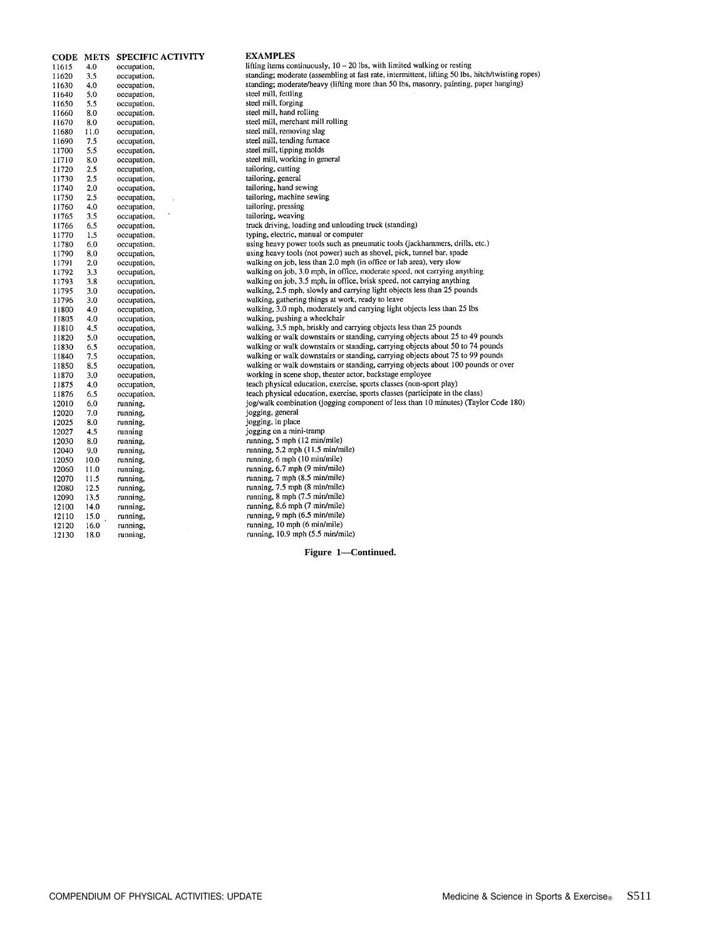| <b>CODE</b> | METS | <b>SPECIFIC ACTIVITY</b> | <b>EXAMPLES</b>                                                                                  |
|-------------|------|--------------------------|--------------------------------------------------------------------------------------------------|
| 11615       | 4.0  | occupation,              | lifting items continuously, $10 - 20$ lbs, with limited walking or resting                       |
| 11620       | 3.5  | occupation,              | standing; moderate (assembling at fast rate, intermittent, lifting 50 lbs, hitch/twisting ropes) |
| 11630       | 4.0  | occupation,              | standing; moderate/heavy (lifting more than 50 lbs, masonry, painting, paper hanging)            |
| 11640       | 5.0  | occupation,              | steel mill, fettling                                                                             |
| 11650       | 5.5  | occupation,              | steel mill, forging                                                                              |
| 11660       | 8.0  | occupation,              | steel mill, hand rolling                                                                         |
| 11670       | 8.0  | occupation,              | steel mill, merchant mill rolling                                                                |
| 11680       | 11.0 | occupation,              | steel mill, removing slag                                                                        |
| 11690       | 7.5  | occupation,              | steel mill, tending furnace                                                                      |
| 11700       | 5.5  | occupation,              | steel mill, tipping molds                                                                        |
| 11710       | 8.0  | occupation,              | steel mill, working in general                                                                   |
| 11720       | 2.5  | occupation,              | tailoring, cutting                                                                               |
| 11730       | 2.5  | occupation,              | tailoring, general                                                                               |
| 11740       | 2.0  | occupation,              | tailoring, hand sewing                                                                           |
| 11750       | 2.5  | occupation,              | tailoring, machine sewing                                                                        |
| 11760       | 4.0  | occupation,              | tailoring, pressing                                                                              |
| 11765       | 3.5  | occupation,              | tailoring, weaving                                                                               |
| 11766       | 6.5  | occupation,              | truck driving, loading and unloading truck (standing)                                            |
| 11770       | 1.5  | occupation,              | typing, electric, manual or computer                                                             |
| 11780       | 6.0  | occupation,              | using heavy power tools such as pneumatic tools (jackhammers, drills, etc.)                      |
| 11790       | 8.0  | occupation,              | using heavy tools (not power) such as shovel, pick, tunnel bar, spade                            |
| 11791       | 2.0  | occupation,              | walking on job, less than 2.0 mph (in office or lab area), very slow                             |
| 11792       | 3.3  | occupation,              | walking on job, 3.0 mph, in office, moderate speed, not carrying anything                        |
| 11793       | 3.8  | occupation,              | walking on job, 3.5 mph, in office, brisk speed, not carrying anything                           |
| 11795       | 3.0  | occupation,              | walking, 2.5 mph, slowly and carrying light objects less than 25 pounds                          |
| 11796       | 3.0  | occupation,              | walking, gathering things at work, ready to leave                                                |
| 11800       | 4.0  | occupation,              | walking, 3.0 mph, moderately and carrying light objects less than 25 lbs                         |
| 11805       | 4.0  | occupation,              | walking, pushing a wheelchair                                                                    |
| 11810       | 4.5  | occupation,              | walking, 3.5 mph, briskly and carrying objects less than 25 pounds                               |
| 11820       | 5.0  | occupation,              | walking or walk downstairs or standing, carrying objects about 25 to 49 pounds                   |
| 11830       | 6.5  | occupation,              | walking or walk downstairs or standing, carrying objects about 50 to 74 pounds                   |
| 11840       | 7.5  | occupation,              | walking or walk downstairs or standing, carrying objects about 75 to 99 pounds                   |
| 11850       | 8.5  | occupation,              | walking or walk downstairs or standing, carrying objects about 100 pounds or over                |
| 11870       | 3.0  | occupation,              | working in scene shop, theater actor, backstage employee                                         |
| 11875       | 4.0  | occupation,              | teach physical education, exercise, sports classes (non-sport play)                              |
| 11876       | 6.5  | occupation,              | teach physical education, exercise, sports classes (participate in the class)                    |
| 12010       | 6.0  | running,                 | jog/walk combination (jogging component of less than 10 minutes) (Taylor Code 180)               |
| 12020       | 7.0  | running,                 | jogging, general                                                                                 |
| 12025       | 8.0  | running,                 | jogging, in place                                                                                |
| 12027       | 4.5  | running                  | jogging on a mini-tramp                                                                          |
| 12030       | 8.0  | running,                 | running, 5 mph (12 min/mile)                                                                     |
| 12040       | 9.0  | running,                 | running, $5.2$ mph $(11.5 \text{ min/mile})$                                                     |
| 12050       | 10.0 | running,                 | running, 6 mph (10 min/mile)                                                                     |
| 12060       | 11.0 | running,                 | running, 6.7 mph (9 min/mile)                                                                    |
| 12070       | 11.5 | running,                 | running, 7 mph (8.5 min/mile)                                                                    |
| 12080       | 12.5 | running,                 | running, 7.5 mph (8 min/mile)                                                                    |
| 12090       | 13.5 | running,                 | running, 8 mph (7.5 min/mile)                                                                    |
| 12100       | 14.0 | running,                 | running, 8.6 mph (7 min/mile)                                                                    |
| 12110       | 15.0 | running,                 | running, 9 mph (6.5 min/mile)                                                                    |
| 12120       | 16.0 | running,                 | running, 10 mph (6 min/mile)                                                                     |
| 12130       | 18.0 | running,                 | running, 10.9 mph (5.5 min/mile)                                                                 |
|             |      |                          |                                                                                                  |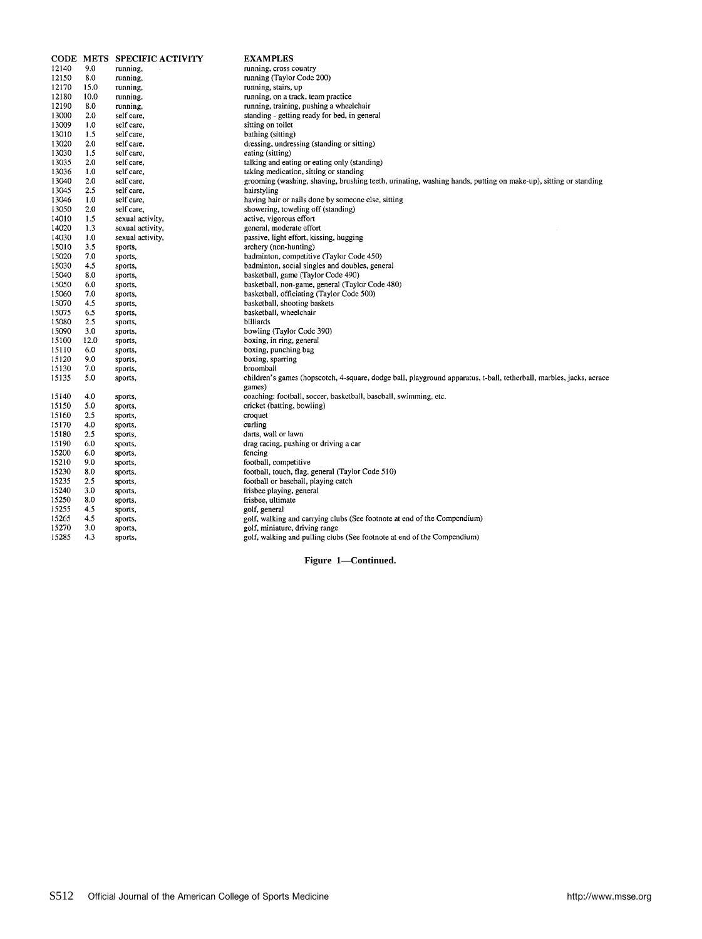|                | CODE METS | <b>SPECIFIC ACTIVITY</b> | <b>EXAMPLES</b>                                                                                                     |
|----------------|-----------|--------------------------|---------------------------------------------------------------------------------------------------------------------|
| 12140          | 9.0       | running,                 | running, cross country                                                                                              |
| 12150          | 8.0       | running,                 | running (Taylor Code 200)                                                                                           |
| 12170          | 15.0      | running,                 | running, stairs, up                                                                                                 |
| 12180          | 10.0      | running,                 | running, on a track, team practice                                                                                  |
| 12190          | 8.0       | running,                 | running, training, pushing a wheelchair                                                                             |
| 13000          | 2.0       | self care,               | standing - getting ready for bed, in general                                                                        |
| 13009          | 1.0       | self care.               | sitting on toilet                                                                                                   |
| 13010          | 1.5       | self care.               | bathing (sitting)                                                                                                   |
| 13020          | 2.0       | self care,               | dressing, undressing (standing or sitting)                                                                          |
| 13030          | 1.5       | self care.               | eating (sitting)                                                                                                    |
| 13035          | 2.0       | self care,               | talking and eating or eating only (standing)                                                                        |
| 13036          | 1.0       | self care.               | taking medication, sitting or standing                                                                              |
| 13040          | 2.0       | self care,               | grooming (washing, shaving, brushing teeth, urinating, washing hands, putting on make-up), sitting or standing      |
| 13045          | 2.5       | self care,               | hairstyling                                                                                                         |
| 13046          | 1.0       | self care,               | having hair or nails done by someone else, sitting                                                                  |
| 13050          | 2.0       | self care.               | showering, toweling off (standing)                                                                                  |
| 14010          | 1.5       | sexual activity,         | active, vigorous effort                                                                                             |
| 14020          | 1.3       | sexual activity,         | general, moderate effort                                                                                            |
| 14030          | 1.0       | sexual activity,         | passive, light effort, kissing, hugging                                                                             |
| 15010          | 3.5       | sports,                  | archery (non-hunting)                                                                                               |
| 15020          | 7.0       | sports,                  | badminton, competitive (Taylor Code 450)                                                                            |
| 15030          | 4,5       | sports,                  | badminton, social singles and doubles, general                                                                      |
| 15040          | 8.0       | sports,                  | basketball, game (Taylor Code 490)                                                                                  |
| 15050          | 6.0       | sports,                  | basketball, non-game, general (Taylor Code 480)                                                                     |
| 15060          | 7.0       |                          | basketball, officiating (Taylor Code 500)                                                                           |
| 15070          | 4.5       | sports,                  | basketball, shooting baskets                                                                                        |
| 15075          | 6.5       | sports,                  | basketball, wheelchair                                                                                              |
| 15080          | 2.5       | sports,                  | billiards                                                                                                           |
| 15090          | 3.0       | sports,                  | bowling (Taylor Code 390)                                                                                           |
|                | 12.0      | sports,                  |                                                                                                                     |
| 15100<br>15110 | 6.0       | sports,                  | boxing, in ring, general                                                                                            |
| 15120          | 9.0       | sports,                  | boxing, punching bag                                                                                                |
| 15130          | 7.0       | sports,                  | boxing, sparring<br>broomball                                                                                       |
|                |           | sports,                  |                                                                                                                     |
| 15135          | 5.0       | sports,                  | children's games (hopscotch, 4-square, dodge ball, playground apparatus, t-ball, tetherball, marbles, jacks, acrace |
|                |           |                          | games)                                                                                                              |
| 15140          | 4.0       | sports,                  | coaching: football, soccer, basketball, baseball, swimming, etc.                                                    |
| 15150          | 5.0       | sports,                  | cricket (batting, bowling)                                                                                          |
| 15160          | 2.5       | sports,                  | croquet                                                                                                             |
| 15170          | 4.0       | sports,                  | curling                                                                                                             |
| 15180          | 2.5       | sports,                  | darts, wall or lawn                                                                                                 |
| 15190          | 6.0       | sports,                  | drag racing, pushing or driving a car                                                                               |
| 15200          | 6.0       | sports,                  | fencing                                                                                                             |
| 15210          | 9.0       | sports,                  | football, competitive                                                                                               |
| 15230          | 8.0       | sports,                  | football, touch, flag, general (Taylor Code 510)                                                                    |
| 15235          | 2.5       | sports,                  | football or baseball, playing catch                                                                                 |
| 15240          | 3.0       | sports,                  | frisbee playing, general                                                                                            |
| 15250          | 8.0       | sports,                  | frisbee, ultimate                                                                                                   |
| 15255          | 4.5       | sports,                  | golf, general                                                                                                       |
| 15265          | 4.5       | sports,                  | golf, walking and carrying clubs (See footnote at end of the Compendium)                                            |
| 15270          | 3.0       | sports,                  | golf, miniature, driving range                                                                                      |
| 15285          | 4.3       | sports,                  | golf, walking and pulling clubs (See footnote at end of the Compendium)                                             |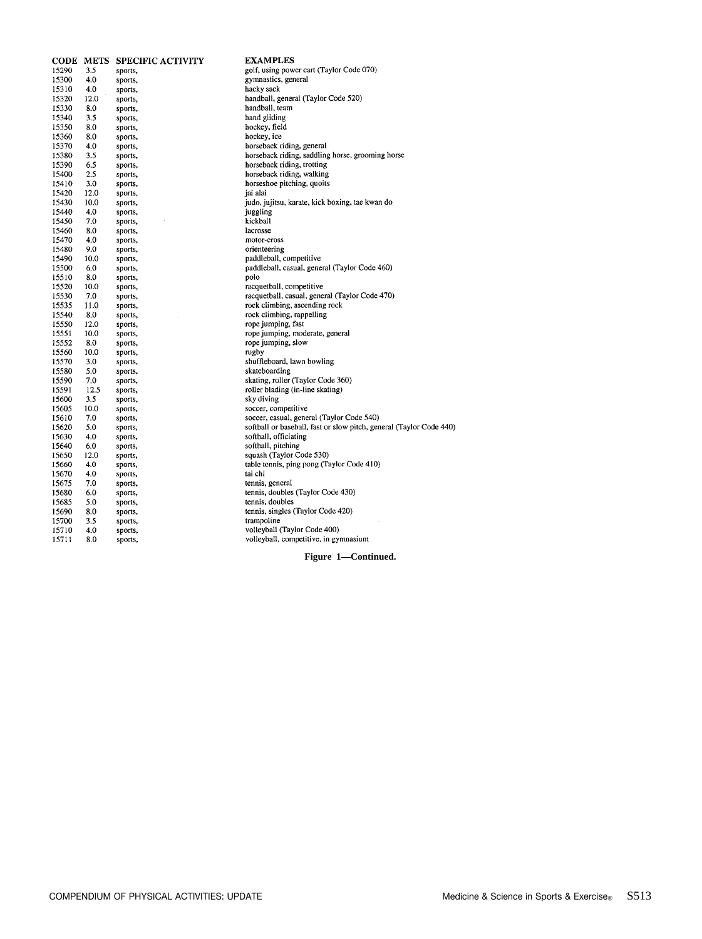|       | <b>CODE METS</b> | <b>SPECIFIC ACTIVITY</b> | <b>EXAMPLES</b>                                                     |
|-------|------------------|--------------------------|---------------------------------------------------------------------|
| 15290 | 3.5              | sports.                  | golf, using power cart (Taylor Code 070)                            |
| 15300 | 4.0              | sports,                  | gymnastics, general                                                 |
| 15310 | 4.0              | sports,                  | hacky sack                                                          |
| 15320 | 12.0             | sports,                  | handball, general (Taylor Code 520)                                 |
| 15330 | 8.0              | sports,                  | handball, team                                                      |
| 15340 | 3.5              | sports,                  | hand gliding                                                        |
| 15350 | 8.0              | sports,                  | hockey, field                                                       |
| 15360 | 8.0              | sports,                  | hockey, ice                                                         |
| 15370 | 4.0              | sports,                  | horseback riding, general                                           |
| 15380 | 3.5              | sports,                  | horseback riding, saddling horse, grooming horse                    |
| 15390 | 6.5              | sports,                  | horseback riding, trotting                                          |
| 15400 | 2.5              | sports,                  | horseback riding, walking                                           |
| 15410 | 3.0              | sports,                  | horseshoe pitching, quoits                                          |
| 15420 | 12.0             | sports,                  | jai alai                                                            |
| 15430 | 10.0             | sports,                  | judo, jujitsu, karate, kick boxing, tae kwan do                     |
| 15440 | 4.0              | sports,                  | juggling                                                            |
| 15450 | 7.0              | sports,                  | kickball                                                            |
| 15460 | 8.0              | sports,                  | lacrosse                                                            |
| 15470 | 4.0              | sports,                  | motor-cross                                                         |
| 15480 | 9.0              | sports,                  | orienteering                                                        |
| 15490 | 10.0             | sports,                  | paddleball, competitive                                             |
| 15500 | 6.0              | sports,                  | paddleball, casual, general (Taylor Code 460)                       |
| 15510 | 8.0              | sports,                  | polo                                                                |
| 15520 | 10.0             | sports,                  | racquetball, competitive                                            |
| 15530 | 7.0              | sports,                  | racquetball, casual, general (Taylor Code 470)                      |
| 15535 | 11.0             | sports,                  | rock climbing, ascending rock                                       |
| 15540 | 8.0              | sports,                  | rock climbing, rappelling                                           |
| 15550 | 12.0             | sports,                  | rope jumping, fast                                                  |
| 15551 | 10.0             | sports,                  | rope jumping, moderate, general                                     |
| 15552 | 80               | sports,                  | rope jumping, slow                                                  |
| 15560 | 10.0             | sports,                  | rugby                                                               |
| 15570 | 3.0              | sports,                  | shuffleboard, lawn bowling                                          |
| 15580 | 5.0              | sports,                  | skateboarding                                                       |
| 15590 | 7.0              | sports,                  | skating, roller (Taylor Code 360)                                   |
| 15591 | 12.5             | sports,                  | roller blading (in-line skating)                                    |
| 15600 | 3.5              | sports,                  | sky diving                                                          |
| 15605 | 10.0             | sports,                  | soccer, competitive                                                 |
| 15610 | 7.0              | sports,                  | soccer, casual, general (Taylor Code 540)                           |
| 15620 | 5.0              | sports,                  | softball or baseball, fast or slow pitch, general (Taylor Code 440) |
| 15630 | 4.0              | sports,                  | softball, officiating                                               |
| 15640 | 6.0              | sports,                  | softball, pitching                                                  |
| 15650 | 12.0             | sports,                  | squash (Taylor Code 530)                                            |
| 15660 | 4.0              | sports,                  | table tennis, ping pong (Taylor Code 410)                           |
| 15670 | 4.0              | sports,                  | tai chi                                                             |
| 15675 | 7.0              | sports,                  | tennis, general                                                     |
| 15680 | 6.0              | sports,                  | tennis, doubles (Taylor Code 430)                                   |
| 15685 | 5.0              | sports,                  | tennis, doubles                                                     |
| 15690 | 8.0              | sports,                  | tennis, singles (Taylor Code 420)                                   |
| 15700 | 3.5              | sports,                  | trampoline                                                          |
| 15710 | 4.0              | sports,                  | volleyball (Taylor Code 400)                                        |
| 15711 | 8.0              | sports,                  | volleyball, competitive, in gymnasium                               |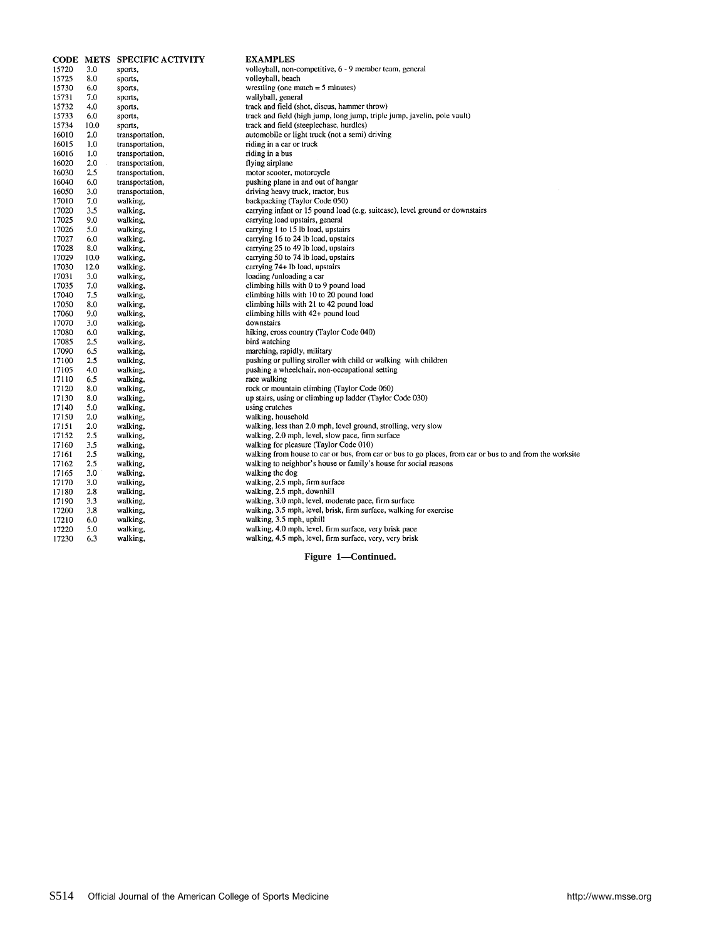|       |      | CODE METS SPECIFIC ACTIVITY | <b>EXAMPLES</b>                                                                                          |
|-------|------|-----------------------------|----------------------------------------------------------------------------------------------------------|
| 15720 | 3.0  | sports,                     | volleyball, non-competitive, 6 - 9 member team, general                                                  |
| 15725 | 8.0  | sports,                     | volleyball, beach                                                                                        |
| 15730 | 6.0  | sports,                     | wrestling (one match $=$ 5 minutes)                                                                      |
| 15731 | 7.0  | sports,                     | wallyball, general                                                                                       |
| 15732 | 4.0  | sports,                     | track and field (shot, discus, hammer throw)                                                             |
| 15733 | 6.0  | sports,                     | track and field (high jump, long jump, triple jump, javelin, pole vault)                                 |
| 15734 | 10.0 | sports,                     | track and field (steeplechase, hurdles)                                                                  |
| 16010 | 2.0  | transportation,             | automobile or light truck (not a semi) driving                                                           |
| 16015 | 1.0  | transportation,             | riding in a car or truck                                                                                 |
| 16016 | 1.0  | transportation,             | riding in a bus                                                                                          |
| 16020 | 2.0  | transportation,             | flying airplane                                                                                          |
| 16030 | 2.5  | transportation,             | motor scooter, motorcycle                                                                                |
| 16040 | 6.0  | transportation,             | pushing plane in and out of hangar                                                                       |
| 16050 | 3.0  | transportation,             | driving heavy truck, tractor, bus                                                                        |
| 17010 | 7.0  | walking,                    | backpacking (Taylor Code 050)                                                                            |
| 17020 | 3.5  | walking,                    | carrying infant or 15 pound load (e.g. suitcase), level ground or downstairs                             |
| 17025 | 9.0  | walking,                    | carrying load upstairs, general                                                                          |
| 17026 | 5.0  | walking,                    | carrying 1 to 15 lb load, upstairs                                                                       |
| 17027 | 6.0  | walking,                    | carrying 16 to 24 lb load, upstairs                                                                      |
| 17028 | 8.0  | walking,                    | carrying 25 to 49 lb load, upstairs                                                                      |
| 17029 | 10.0 | walking,                    | carrying 50 to 74 lb load, upstairs                                                                      |
| 17030 | 12.0 | walking,                    | carrying 74+ lb load, upstairs                                                                           |
| 17031 | 3.0  | walking,                    | loading /unloading a car                                                                                 |
| 17035 | 7.0  | walking,                    | climbing hills with 0 to 9 pound load                                                                    |
| 17040 | 7.5  | walking,                    | climbing hills with 10 to 20 pound load                                                                  |
| 17050 | 8.0  | walking,                    | climbing hills with 21 to 42 pound load                                                                  |
| 17060 | 9.0  | walking,                    | climbing hills with 42+ pound load                                                                       |
| 17070 | 3.0  | walking,                    | downstairs                                                                                               |
| 17080 | 6.0  | walking,                    | hiking, cross country (Taylor Code 040)                                                                  |
| 17085 | 2.5  | walking,                    | bird watching                                                                                            |
| 17090 | 6.5  | walking,                    | marching, rapidly, military                                                                              |
| 17100 | 2.5  | walking,                    | pushing or pulling stroller with child or walking with children                                          |
| 17105 | 4.0  | walking,                    | pushing a wheelchair, non-occupational setting                                                           |
| 17110 | 6.5  | walking,                    | race walking                                                                                             |
| 17120 | 8.0  | walking,                    | rock or mountain climbing (Taylor Code 060)                                                              |
| 17130 | 8.0  | walking,                    | up stairs, using or climbing up ladder (Taylor Code 030)                                                 |
| 17140 | 5.0  | walking,                    | using crutches                                                                                           |
| 17150 | 2.0  | walking,                    | walking, household                                                                                       |
| 17151 | 2.0  | walking,                    | walking, less than 2.0 mph, level ground, strolling, very slow                                           |
| 17152 | 2.5  | walking,                    | walking, 2.0 mph, level, slow pace, firm surface                                                         |
| 17160 | 3.5  | walking,                    | walking for pleasure (Taylor Code 010)                                                                   |
| 17161 | 2.5  | walking,                    | walking from house to car or bus, from car or bus to go places, from car or bus to and from the worksite |
| 17162 | 2.5  | walking,                    | walking to neighbor's house or family's house for social reasons                                         |
| 17165 | 3.0  | walking,                    | walking the dog                                                                                          |
| 17170 | 3.0  | walking,                    | walking, 2.5 mph, firm surface                                                                           |
| 17180 | 2.8  | walking,                    | walking, 2.5 mph, downhill                                                                               |
| 17190 | 3.3  | walking,                    | walking, 3.0 mph, level, moderate pace, firm surface                                                     |
| 17200 | 3.8  | walking,                    | walking, 3.5 mph, level, brisk, firm surface, walking for exercise                                       |
| 17210 | 6.0  | walking,                    | walking, 3.5 mph, uphill                                                                                 |
| 17220 | 5.0  | walking,                    | walking, 4.0 mph, level, firm surface, very brisk pace                                                   |
| 17230 | 6.3  | walking,                    | walking, 4.5 mph, level, firm surface, very, very brisk                                                  |
|       |      |                             |                                                                                                          |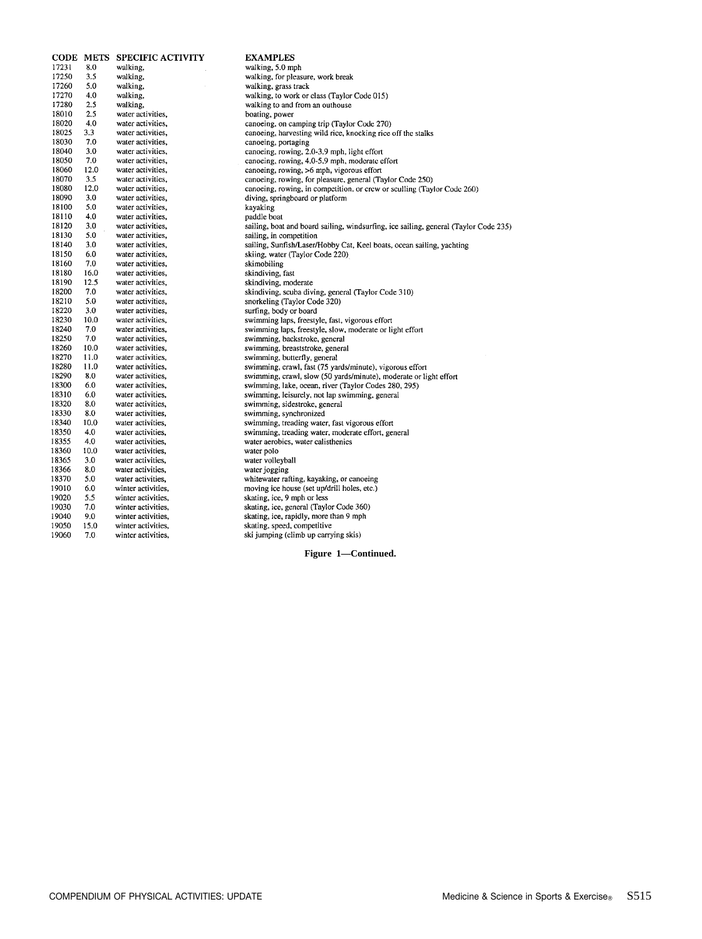|       | CODE METS | <b>SPECIFIC ACTIVITY</b> | <b>EXAMPLES</b>                                                                      |
|-------|-----------|--------------------------|--------------------------------------------------------------------------------------|
| 17231 | 8.0       | walking,                 | walking, 5.0 mph                                                                     |
| 17250 | 3.5       | walking.                 | walking, for pleasure, work break                                                    |
| 17260 | 5.0       | walking,                 | walking, grass track                                                                 |
| 17270 | 4.0       | walking,                 | walking, to work or class (Taylor Code 015)                                          |
| 17280 | 2.5       | walking,                 | walking to and from an outhouse                                                      |
| 18010 | 2.5       | water activities.        | boating, power                                                                       |
| 18020 | 4.0       | water activities,        | canoeing, on camping trip (Taylor Code 270)                                          |
| 18025 | 3.3       | water activities,        | canoeing, harvesting wild rice, knocking rice off the stalks                         |
| 18030 | 7.0       | water activities,        | canoeing, portaging                                                                  |
| 18040 | 3.0       | water activities.        | canoeing, rowing, 2.0-3.9 mph, light effort                                          |
| 18050 | 7.0       | water activities,        | canoeing, rowing, 4.0-5.9 mph, moderate effort                                       |
| 18060 | 12.0      | water activities,        | canoeing, rowing, >6 mph, vigorous effort                                            |
| 18070 | 3.5       | water activities,        | canoeing, rowing, for pleasure, general (Taylor Code 250)                            |
| 18080 | 12.0      | water activities,        | canoeing, rowing, in competition, or crew or sculling (Taylor Code 260)              |
| 18090 | 3.0       | water activities,        | diving, springboard or platform                                                      |
| 18100 | 5.0       | water activities,        | kayaking                                                                             |
| 18110 | 4.0       | water activities.        | paddle boat                                                                          |
| 18120 | 3.0       | water activities.        | sailing, boat and board sailing, windsurfing, ice sailing, general (Taylor Code 235) |
| 18130 | 5.0       | water activities,        | sailing, in competition                                                              |
| 18140 | 3.0       | water activities,        | sailing, Sunfish/Laser/Hobby Cat, Keel boats, ocean sailing, yachting                |
| 18150 | 6.0       | water activities.        | skiing, water (Taylor Code 220)                                                      |
| 18160 | 7.0       | water activities,        | skimobiling                                                                          |
| 18180 | 16.0      | water activities,        | skindiving, fast                                                                     |
| 18190 | 12.5      | water activities,        | skindiving, moderate                                                                 |
| 18200 | 7.0       | water activities,        | skindiving, scuba diving, general (Taylor Code 310)                                  |
| 18210 | 5.0       | water activities,        | snorkeling (Taylor Code 320)                                                         |
| 18220 | 3.0       | water activities,        | surfing, body or board                                                               |
| 18230 | 10.0      | water activities.        | swimming laps, freestyle, fast, vigorous effort                                      |
| 18240 | 7.0       | water activities.        | swimming laps, freestyle, slow, moderate or light effort                             |
| 18250 | 7.0       | water activities,        | swimming, backstroke, general                                                        |
| 18260 | 10.0      | water activities.        | swimming, breaststroke, general                                                      |
| 18270 | 11.0      | water activities.        | swimming, butterfly, general                                                         |
| 18280 | 11.0      | water activities,        | swimming, crawl, fast (75 yards/minute), vigorous effort                             |
| 18290 | 8.0       | water activities,        | swimming, crawl, slow (50 yards/minute), moderate or light effort                    |
| 18300 | 6.0       | water activities,        | swimming, lake, ocean, river (Taylor Codes 280, 295)                                 |
| 18310 | 6.0       | water activities,        | swimming, leisurely, not lap swimming, general                                       |
| 18320 | 8.0       | water activities,        | swimming, sidestroke, general                                                        |
| 18330 | 8.0       | water activities,        | swimming, synchronized                                                               |
| 18340 | 10.0      | water activities,        | swimming, treading water, fast vigorous effort                                       |
| 18350 | 4.0       | water activities,        | swimming, treading water, moderate effort, general                                   |
| 18355 | 4.0       | water activities.        | water aerobics, water calisthenics                                                   |
| 18360 | 10.0      | water activities,        | water polo                                                                           |
| 18365 | 3.0       | water activities,        | water volleyball                                                                     |
| 18366 | 8.0       | water activities,        | water jogging                                                                        |
| 18370 | 5.0       | water activities,        | whitewater rafting, kayaking, or canoeing                                            |
| 19010 | 6.0       | winter activities,       | moving ice house (set up/drill holes, etc.)                                          |
| 19020 | 5.5       | winter activities,       | skating, ice, 9 mph or less                                                          |
| 19030 | 7.0       | winter activities.       | skating, ice, general (Taylor Code 360)                                              |
| 19040 | 9.0       | winter activities.       | skating, ice, rapidly, more than 9 mph                                               |
| 19050 | 15.0      | winter activities.       | skating, speed, competitive                                                          |
| 19060 | 7.0       | winter activities.       |                                                                                      |
|       |           |                          | ski jumping (climb up carrying skis)                                                 |